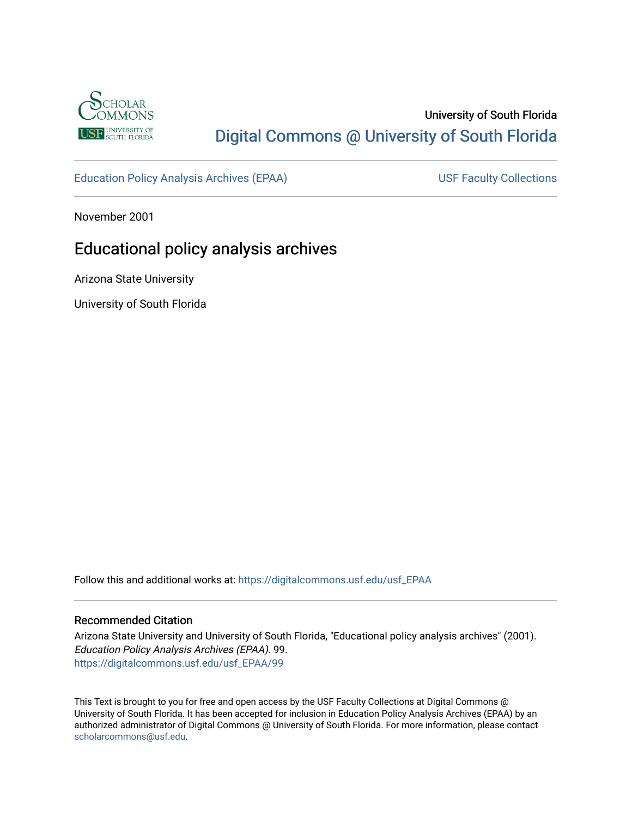

# University of South Florida [Digital Commons @ University of South Florida](https://digitalcommons.usf.edu/)

[Education Policy Analysis Archives \(EPAA\)](https://digitalcommons.usf.edu/usf_EPAA) USF Faculty Collections

November 2001

# Educational policy analysis archives

Arizona State University

University of South Florida

Follow this and additional works at: [https://digitalcommons.usf.edu/usf\\_EPAA](https://digitalcommons.usf.edu/usf_EPAA?utm_source=digitalcommons.usf.edu%2Fusf_EPAA%2F99&utm_medium=PDF&utm_campaign=PDFCoverPages)

### Recommended Citation

Arizona State University and University of South Florida, "Educational policy analysis archives" (2001). Education Policy Analysis Archives (EPAA). 99. [https://digitalcommons.usf.edu/usf\\_EPAA/99](https://digitalcommons.usf.edu/usf_EPAA/99?utm_source=digitalcommons.usf.edu%2Fusf_EPAA%2F99&utm_medium=PDF&utm_campaign=PDFCoverPages) 

This Text is brought to you for free and open access by the USF Faculty Collections at Digital Commons @ University of South Florida. It has been accepted for inclusion in Education Policy Analysis Archives (EPAA) by an authorized administrator of Digital Commons @ University of South Florida. For more information, please contact [scholarcommons@usf.edu.](mailto:scholarcommons@usf.edu)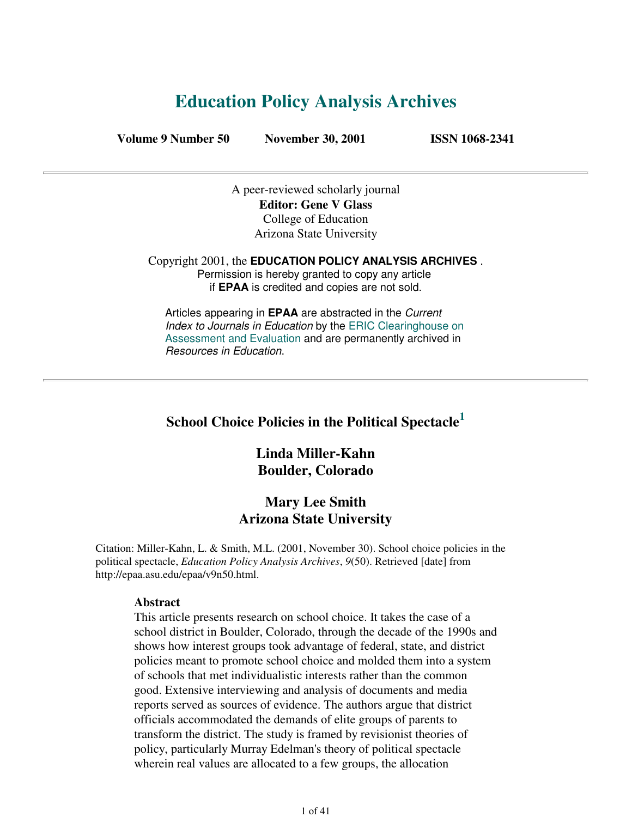# **Education Policy Analysis Archives**

**Volume 9 Number 50 November 30, 2001 ISSN 1068-2341**

A peer-reviewed scholarly journal **Editor: Gene V Glass** College of Education Arizona State University

Copyright 2001, the **EDUCATION POLICY ANALYSIS ARCHIVES** . Permission is hereby granted to copy any article if **EPAA** is credited and copies are not sold.

Articles appearing in **EPAA** are abstracted in the Current Index to Journals in Education by the ERIC Clearinghouse on Assessment and Evaluation and are permanently archived in Resources in Education.

# **School Choice Policies in the Political Spectacle<sup>1</sup>**

## **Linda Miller-Kahn Boulder, Colorado**

## **Mary Lee Smith Arizona State University**

Citation: Miller-Kahn, L. & Smith, M.L. (2001, November 30). School choice policies in the political spectacle, *Education Policy Analysis Archives*, *9*(50). Retrieved [date] from http://epaa.asu.edu/epaa/v9n50.html.

## **Abstract**

This article presents research on school choice. It takes the case of a school district in Boulder, Colorado, through the decade of the 1990s and shows how interest groups took advantage of federal, state, and district policies meant to promote school choice and molded them into a system of schools that met individualistic interests rather than the common good. Extensive interviewing and analysis of documents and media reports served as sources of evidence. The authors argue that district officials accommodated the demands of elite groups of parents to transform the district. The study is framed by revisionist theories of policy, particularly Murray Edelman's theory of political spectacle wherein real values are allocated to a few groups, the allocation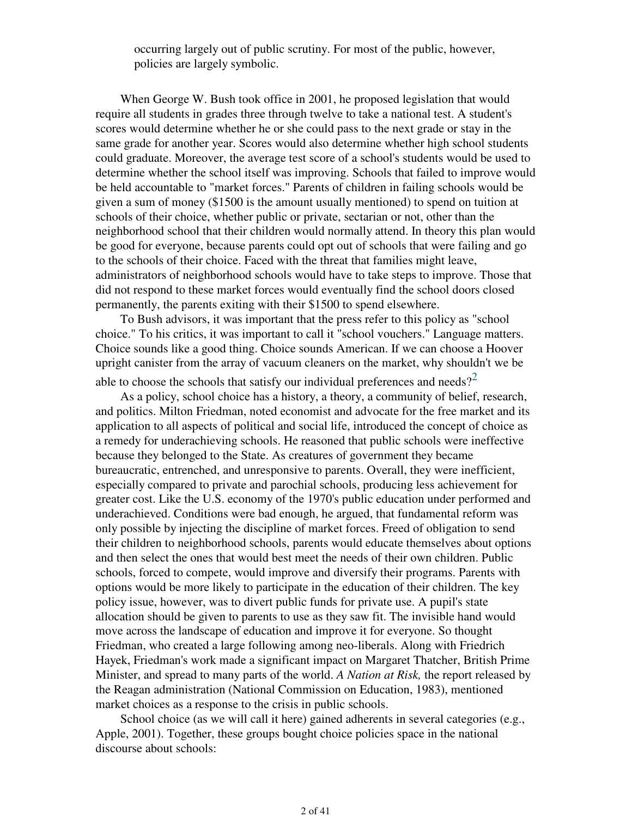occurring largely out of public scrutiny. For most of the public, however, policies are largely symbolic.

When George W. Bush took office in 2001, he proposed legislation that would require all students in grades three through twelve to take a national test. A student's scores would determine whether he or she could pass to the next grade or stay in the same grade for another year. Scores would also determine whether high school students could graduate. Moreover, the average test score of a school's students would be used to determine whether the school itself was improving. Schools that failed to improve would be held accountable to "market forces." Parents of children in failing schools would be given a sum of money (\$1500 is the amount usually mentioned) to spend on tuition at schools of their choice, whether public or private, sectarian or not, other than the neighborhood school that their children would normally attend. In theory this plan would be good for everyone, because parents could opt out of schools that were failing and go to the schools of their choice. Faced with the threat that families might leave, administrators of neighborhood schools would have to take steps to improve. Those that did not respond to these market forces would eventually find the school doors closed permanently, the parents exiting with their \$1500 to spend elsewhere.

 To Bush advisors, it was important that the press refer to this policy as "school choice." To his critics, it was important to call it "school vouchers." Language matters. Choice sounds like a good thing. Choice sounds American. If we can choose a Hoover upright canister from the array of vacuum cleaners on the market, why shouldn't we be

able to choose the schools that satisfy our individual preferences and needs?<sup>2</sup>

 As a policy, school choice has a history, a theory, a community of belief, research, and politics. Milton Friedman, noted economist and advocate for the free market and its application to all aspects of political and social life, introduced the concept of choice as a remedy for underachieving schools. He reasoned that public schools were ineffective because they belonged to the State. As creatures of government they became bureaucratic, entrenched, and unresponsive to parents. Overall, they were inefficient, especially compared to private and parochial schools, producing less achievement for greater cost. Like the U.S. economy of the 1970's public education under performed and underachieved. Conditions were bad enough, he argued, that fundamental reform was only possible by injecting the discipline of market forces. Freed of obligation to send their children to neighborhood schools, parents would educate themselves about options and then select the ones that would best meet the needs of their own children. Public schools, forced to compete, would improve and diversify their programs. Parents with options would be more likely to participate in the education of their children. The key policy issue, however, was to divert public funds for private use. A pupil's state allocation should be given to parents to use as they saw fit. The invisible hand would move across the landscape of education and improve it for everyone. So thought Friedman, who created a large following among neo-liberals. Along with Friedrich Hayek, Friedman's work made a significant impact on Margaret Thatcher, British Prime Minister, and spread to many parts of the world. *A Nation at Risk,* the report released by the Reagan administration (National Commission on Education, 1983), mentioned market choices as a response to the crisis in public schools.

 School choice (as we will call it here) gained adherents in several categories (e.g., Apple, 2001). Together, these groups bought choice policies space in the national discourse about schools: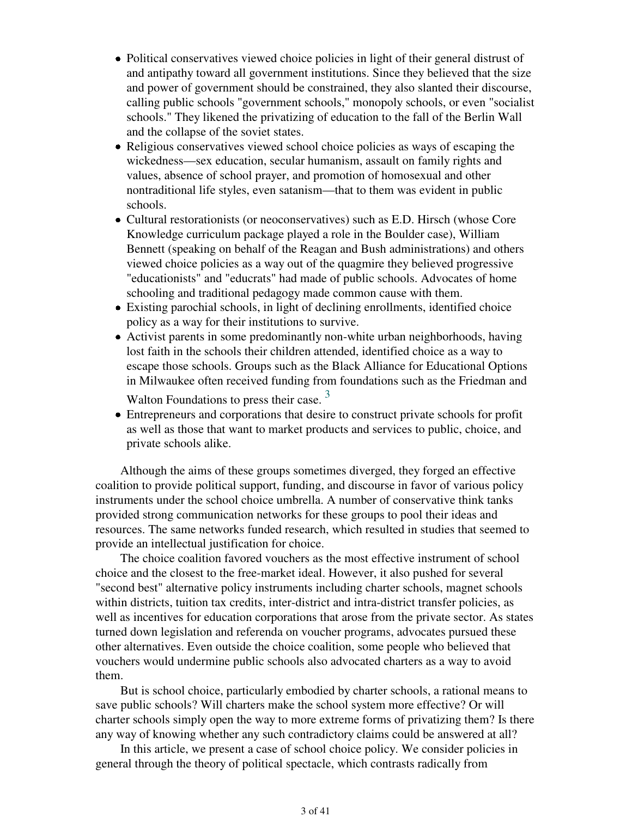- Political conservatives viewed choice policies in light of their general distrust of and antipathy toward all government institutions. Since they believed that the size and power of government should be constrained, they also slanted their discourse, calling public schools "government schools," monopoly schools, or even "socialist schools." They likened the privatizing of education to the fall of the Berlin Wall and the collapse of the soviet states.
- Religious conservatives viewed school choice policies as ways of escaping the wickedness—sex education, secular humanism, assault on family rights and values, absence of school prayer, and promotion of homosexual and other nontraditional life styles, even satanism—that to them was evident in public schools.
- Cultural restorationists (or neoconservatives) such as E.D. Hirsch (whose Core Knowledge curriculum package played a role in the Boulder case), William Bennett (speaking on behalf of the Reagan and Bush administrations) and others viewed choice policies as a way out of the quagmire they believed progressive "educationists" and "educrats" had made of public schools. Advocates of home schooling and traditional pedagogy made common cause with them.
- Existing parochial schools, in light of declining enrollments, identified choice policy as a way for their institutions to survive.
- Activist parents in some predominantly non-white urban neighborhoods, having lost faith in the schools their children attended, identified choice as a way to escape those schools. Groups such as the Black Alliance for Educational Options in Milwaukee often received funding from foundations such as the Friedman and

Walton Foundations to press their case.<sup>3</sup>

Entrepreneurs and corporations that desire to construct private schools for profit as well as those that want to market products and services to public, choice, and private schools alike.

 Although the aims of these groups sometimes diverged, they forged an effective coalition to provide political support, funding, and discourse in favor of various policy instruments under the school choice umbrella. A number of conservative think tanks provided strong communication networks for these groups to pool their ideas and resources. The same networks funded research, which resulted in studies that seemed to provide an intellectual justification for choice.

 The choice coalition favored vouchers as the most effective instrument of school choice and the closest to the free-market ideal. However, it also pushed for several "second best" alternative policy instruments including charter schools, magnet schools within districts, tuition tax credits, inter-district and intra-district transfer policies, as well as incentives for education corporations that arose from the private sector. As states turned down legislation and referenda on voucher programs, advocates pursued these other alternatives. Even outside the choice coalition, some people who believed that vouchers would undermine public schools also advocated charters as a way to avoid them.

 But is school choice, particularly embodied by charter schools, a rational means to save public schools? Will charters make the school system more effective? Or will charter schools simply open the way to more extreme forms of privatizing them? Is there any way of knowing whether any such contradictory claims could be answered at all?

 In this article, we present a case of school choice policy. We consider policies in general through the theory of political spectacle, which contrasts radically from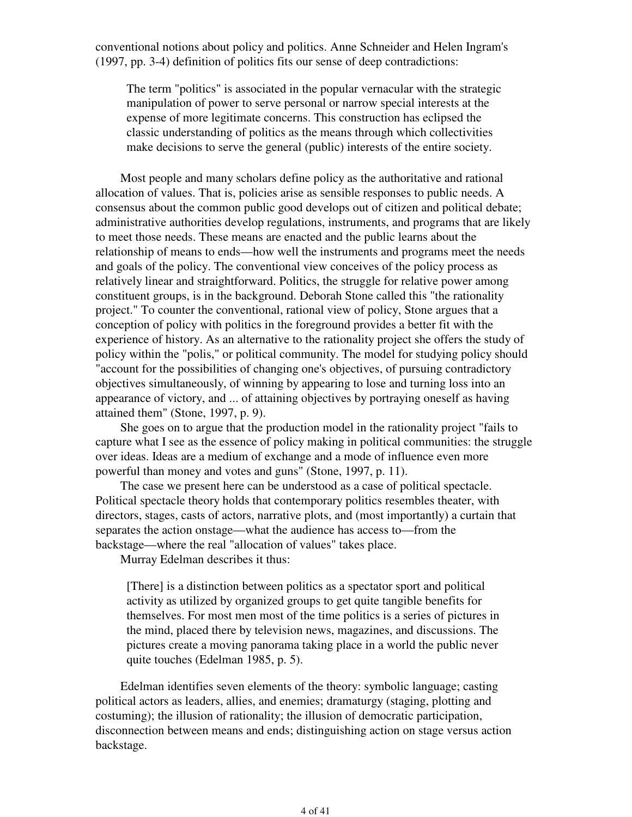conventional notions about policy and politics. Anne Schneider and Helen Ingram's (1997, pp. 3-4) definition of politics fits our sense of deep contradictions:

The term "politics" is associated in the popular vernacular with the strategic manipulation of power to serve personal or narrow special interests at the expense of more legitimate concerns. This construction has eclipsed the classic understanding of politics as the means through which collectivities make decisions to serve the general (public) interests of the entire society.

 Most people and many scholars define policy as the authoritative and rational allocation of values. That is, policies arise as sensible responses to public needs. A consensus about the common public good develops out of citizen and political debate; administrative authorities develop regulations, instruments, and programs that are likely to meet those needs. These means are enacted and the public learns about the relationship of means to ends—how well the instruments and programs meet the needs and goals of the policy. The conventional view conceives of the policy process as relatively linear and straightforward. Politics, the struggle for relative power among constituent groups, is in the background. Deborah Stone called this "the rationality project." To counter the conventional, rational view of policy, Stone argues that a conception of policy with politics in the foreground provides a better fit with the experience of history. As an alternative to the rationality project she offers the study of policy within the "polis," or political community. The model for studying policy should "account for the possibilities of changing one's objectives, of pursuing contradictory objectives simultaneously, of winning by appearing to lose and turning loss into an appearance of victory, and ... of attaining objectives by portraying oneself as having attained them" (Stone, 1997, p. 9).

 She goes on to argue that the production model in the rationality project "fails to capture what I see as the essence of policy making in political communities: the struggle over ideas. Ideas are a medium of exchange and a mode of influence even more powerful than money and votes and guns" (Stone, 1997, p. 11).

 The case we present here can be understood as a case of political spectacle. Political spectacle theory holds that contemporary politics resembles theater, with directors, stages, casts of actors, narrative plots, and (most importantly) a curtain that separates the action onstage—what the audience has access to—from the backstage—where the real "allocation of values" takes place.

Murray Edelman describes it thus:

[There] is a distinction between politics as a spectator sport and political activity as utilized by organized groups to get quite tangible benefits for themselves. For most men most of the time politics is a series of pictures in the mind, placed there by television news, magazines, and discussions. The pictures create a moving panorama taking place in a world the public never quite touches (Edelman 1985, p. 5).

 Edelman identifies seven elements of the theory: symbolic language; casting political actors as leaders, allies, and enemies; dramaturgy (staging, plotting and costuming); the illusion of rationality; the illusion of democratic participation, disconnection between means and ends; distinguishing action on stage versus action backstage.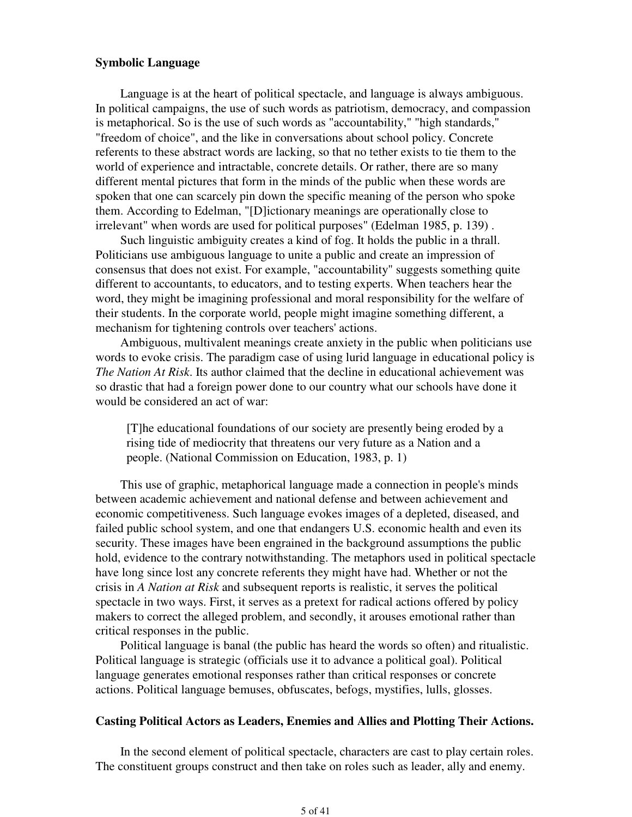### **Symbolic Language**

 Language is at the heart of political spectacle, and language is always ambiguous. In political campaigns, the use of such words as patriotism, democracy, and compassion is metaphorical. So is the use of such words as "accountability," "high standards," "freedom of choice", and the like in conversations about school policy. Concrete referents to these abstract words are lacking, so that no tether exists to tie them to the world of experience and intractable, concrete details. Or rather, there are so many different mental pictures that form in the minds of the public when these words are spoken that one can scarcely pin down the specific meaning of the person who spoke them. According to Edelman, "[D]ictionary meanings are operationally close to irrelevant" when words are used for political purposes" (Edelman 1985, p. 139) .

 Such linguistic ambiguity creates a kind of fog. It holds the public in a thrall. Politicians use ambiguous language to unite a public and create an impression of consensus that does not exist. For example, "accountability" suggests something quite different to accountants, to educators, and to testing experts. When teachers hear the word, they might be imagining professional and moral responsibility for the welfare of their students. In the corporate world, people might imagine something different, a mechanism for tightening controls over teachers' actions.

 Ambiguous, multivalent meanings create anxiety in the public when politicians use words to evoke crisis. The paradigm case of using lurid language in educational policy is *The Nation At Risk*. Its author claimed that the decline in educational achievement was so drastic that had a foreign power done to our country what our schools have done it would be considered an act of war:

[T]he educational foundations of our society are presently being eroded by a rising tide of mediocrity that threatens our very future as a Nation and a people. (National Commission on Education, 1983, p. 1)

 This use of graphic, metaphorical language made a connection in people's minds between academic achievement and national defense and between achievement and economic competitiveness. Such language evokes images of a depleted, diseased, and failed public school system, and one that endangers U.S. economic health and even its security. These images have been engrained in the background assumptions the public hold, evidence to the contrary notwithstanding. The metaphors used in political spectacle have long since lost any concrete referents they might have had. Whether or not the crisis in *A Nation at Risk* and subsequent reports is realistic, it serves the political spectacle in two ways. First, it serves as a pretext for radical actions offered by policy makers to correct the alleged problem, and secondly, it arouses emotional rather than critical responses in the public.

 Political language is banal (the public has heard the words so often) and ritualistic. Political language is strategic (officials use it to advance a political goal). Political language generates emotional responses rather than critical responses or concrete actions. Political language bemuses, obfuscates, befogs, mystifies, lulls, glosses.

#### **Casting Political Actors as Leaders, Enemies and Allies and Plotting Their Actions.**

 In the second element of political spectacle, characters are cast to play certain roles. The constituent groups construct and then take on roles such as leader, ally and enemy.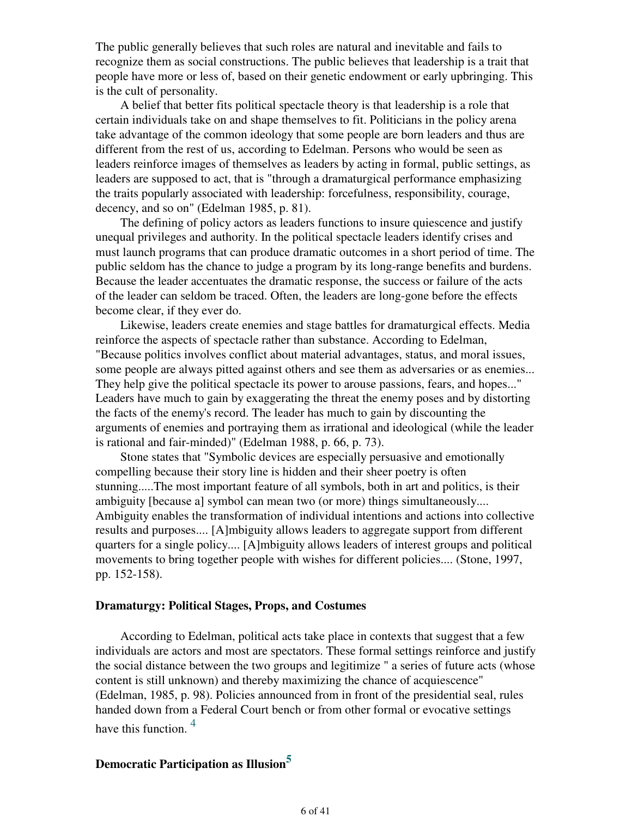The public generally believes that such roles are natural and inevitable and fails to recognize them as social constructions. The public believes that leadership is a trait that people have more or less of, based on their genetic endowment or early upbringing. This is the cult of personality.

 A belief that better fits political spectacle theory is that leadership is a role that certain individuals take on and shape themselves to fit. Politicians in the policy arena take advantage of the common ideology that some people are born leaders and thus are different from the rest of us, according to Edelman. Persons who would be seen as leaders reinforce images of themselves as leaders by acting in formal, public settings, as leaders are supposed to act, that is "through a dramaturgical performance emphasizing the traits popularly associated with leadership: forcefulness, responsibility, courage, decency, and so on" (Edelman 1985, p. 81).

 The defining of policy actors as leaders functions to insure quiescence and justify unequal privileges and authority. In the political spectacle leaders identify crises and must launch programs that can produce dramatic outcomes in a short period of time. The public seldom has the chance to judge a program by its long-range benefits and burdens. Because the leader accentuates the dramatic response, the success or failure of the acts of the leader can seldom be traced. Often, the leaders are long-gone before the effects become clear, if they ever do.

 Likewise, leaders create enemies and stage battles for dramaturgical effects. Media reinforce the aspects of spectacle rather than substance. According to Edelman, "Because politics involves conflict about material advantages, status, and moral issues, some people are always pitted against others and see them as adversaries or as enemies... They help give the political spectacle its power to arouse passions, fears, and hopes..." Leaders have much to gain by exaggerating the threat the enemy poses and by distorting the facts of the enemy's record. The leader has much to gain by discounting the arguments of enemies and portraying them as irrational and ideological (while the leader is rational and fair-minded)" (Edelman 1988, p. 66, p. 73).

 Stone states that "Symbolic devices are especially persuasive and emotionally compelling because their story line is hidden and their sheer poetry is often stunning.....The most important feature of all symbols, both in art and politics, is their ambiguity [because a] symbol can mean two (or more) things simultaneously.... Ambiguity enables the transformation of individual intentions and actions into collective results and purposes.... [A]mbiguity allows leaders to aggregate support from different quarters for a single policy.... [A]mbiguity allows leaders of interest groups and political movements to bring together people with wishes for different policies.... (Stone, 1997, pp. 152-158).

### **Dramaturgy: Political Stages, Props, and Costumes**

 According to Edelman, political acts take place in contexts that suggest that a few individuals are actors and most are spectators. These formal settings reinforce and justify the social distance between the two groups and legitimize " a series of future acts (whose content is still unknown) and thereby maximizing the chance of acquiescence" (Edelman, 1985, p. 98). Policies announced from in front of the presidential seal, rules handed down from a Federal Court bench or from other formal or evocative settings have this function. <sup>4</sup>

## **Democratic Participation as Illusion<sup>5</sup>**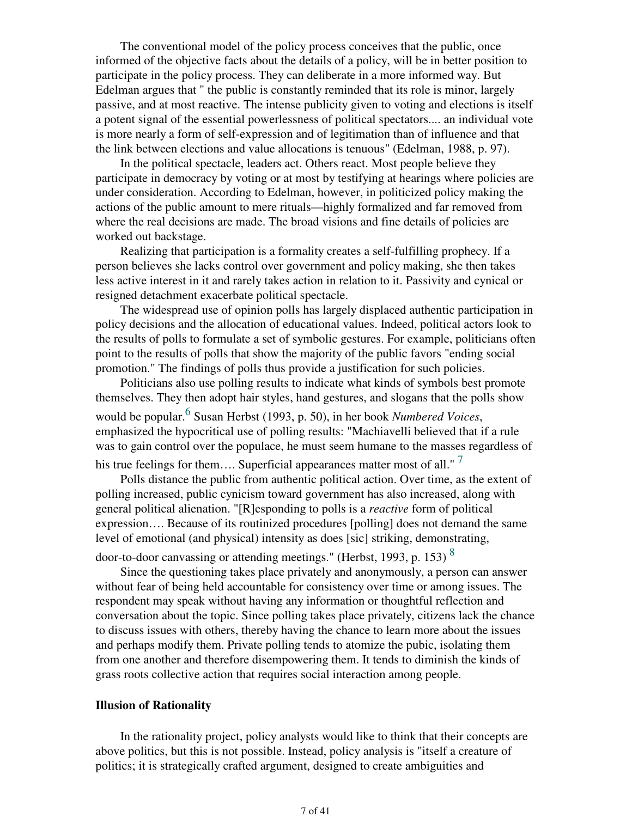The conventional model of the policy process conceives that the public, once informed of the objective facts about the details of a policy, will be in better position to participate in the policy process. They can deliberate in a more informed way. But Edelman argues that " the public is constantly reminded that its role is minor, largely passive, and at most reactive. The intense publicity given to voting and elections is itself a potent signal of the essential powerlessness of political spectators.... an individual vote is more nearly a form of self-expression and of legitimation than of influence and that the link between elections and value allocations is tenuous" (Edelman, 1988, p. 97).

 In the political spectacle, leaders act. Others react. Most people believe they participate in democracy by voting or at most by testifying at hearings where policies are under consideration. According to Edelman, however, in politicized policy making the actions of the public amount to mere rituals—highly formalized and far removed from where the real decisions are made. The broad visions and fine details of policies are worked out backstage.

 Realizing that participation is a formality creates a self-fulfilling prophecy. If a person believes she lacks control over government and policy making, she then takes less active interest in it and rarely takes action in relation to it. Passivity and cynical or resigned detachment exacerbate political spectacle.

 The widespread use of opinion polls has largely displaced authentic participation in policy decisions and the allocation of educational values. Indeed, political actors look to the results of polls to formulate a set of symbolic gestures. For example, politicians often point to the results of polls that show the majority of the public favors "ending social promotion." The findings of polls thus provide a justification for such policies.

 Politicians also use polling results to indicate what kinds of symbols best promote themselves. They then adopt hair styles, hand gestures, and slogans that the polls show would be popular.<sup>6</sup> Susan Herbst (1993, p. 50), in her book *Numbered Voices*, emphasized the hypocritical use of polling results: "Machiavelli believed that if a rule was to gain control over the populace, he must seem humane to the masses regardless of his true feelings for them.... Superficial appearances matter most of all."<sup>7</sup>

 Polls distance the public from authentic political action. Over time, as the extent of polling increased, public cynicism toward government has also increased, along with general political alienation. "[R]esponding to polls is a *reactive* form of political expression…. Because of its routinized procedures [polling] does not demand the same level of emotional (and physical) intensity as does [sic] striking, demonstrating,

door-to-door canvassing or attending meetings." (Herbst, 1993, p. 153)  $8$ 

 Since the questioning takes place privately and anonymously, a person can answer without fear of being held accountable for consistency over time or among issues. The respondent may speak without having any information or thoughtful reflection and conversation about the topic. Since polling takes place privately, citizens lack the chance to discuss issues with others, thereby having the chance to learn more about the issues and perhaps modify them. Private polling tends to atomize the pubic, isolating them from one another and therefore disempowering them. It tends to diminish the kinds of grass roots collective action that requires social interaction among people.

### **Illusion of Rationality**

 In the rationality project, policy analysts would like to think that their concepts are above politics, but this is not possible. Instead, policy analysis is "itself a creature of politics; it is strategically crafted argument, designed to create ambiguities and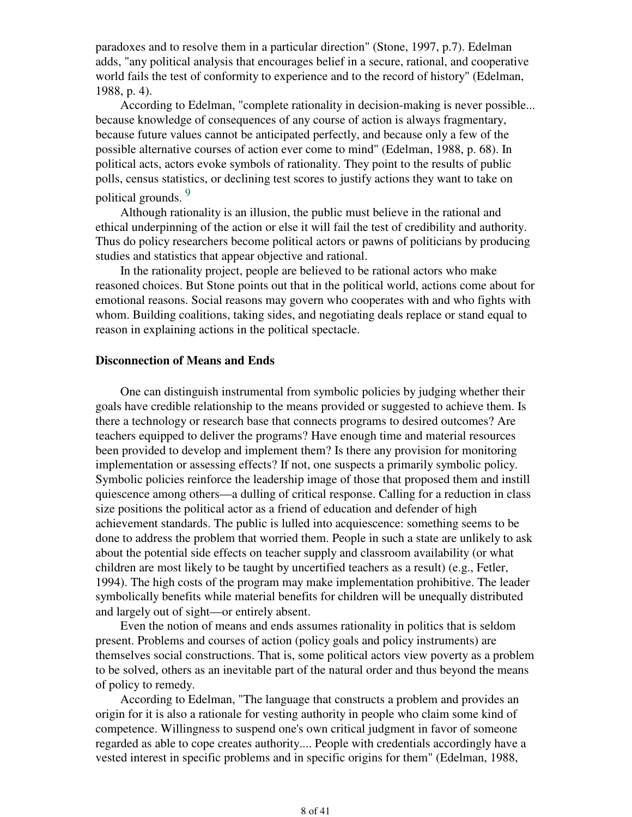paradoxes and to resolve them in a particular direction" (Stone, 1997, p.7). Edelman adds, "any political analysis that encourages belief in a secure, rational, and cooperative world fails the test of conformity to experience and to the record of history" (Edelman, 1988, p. 4).

 According to Edelman, "complete rationality in decision-making is never possible... because knowledge of consequences of any course of action is always fragmentary, because future values cannot be anticipated perfectly, and because only a few of the possible alternative courses of action ever come to mind" (Edelman, 1988, p. 68). In political acts, actors evoke symbols of rationality. They point to the results of public polls, census statistics, or declining test scores to justify actions they want to take on political grounds. <sup>9</sup>

 Although rationality is an illusion, the public must believe in the rational and ethical underpinning of the action or else it will fail the test of credibility and authority. Thus do policy researchers become political actors or pawns of politicians by producing studies and statistics that appear objective and rational.

 In the rationality project, people are believed to be rational actors who make reasoned choices. But Stone points out that in the political world, actions come about for emotional reasons. Social reasons may govern who cooperates with and who fights with whom. Building coalitions, taking sides, and negotiating deals replace or stand equal to reason in explaining actions in the political spectacle.

#### **Disconnection of Means and Ends**

 One can distinguish instrumental from symbolic policies by judging whether their goals have credible relationship to the means provided or suggested to achieve them. Is there a technology or research base that connects programs to desired outcomes? Are teachers equipped to deliver the programs? Have enough time and material resources been provided to develop and implement them? Is there any provision for monitoring implementation or assessing effects? If not, one suspects a primarily symbolic policy. Symbolic policies reinforce the leadership image of those that proposed them and instill quiescence among others—a dulling of critical response. Calling for a reduction in class size positions the political actor as a friend of education and defender of high achievement standards. The public is lulled into acquiescence: something seems to be done to address the problem that worried them. People in such a state are unlikely to ask about the potential side effects on teacher supply and classroom availability (or what children are most likely to be taught by uncertified teachers as a result) (e.g., Fetler, 1994). The high costs of the program may make implementation prohibitive. The leader symbolically benefits while material benefits for children will be unequally distributed and largely out of sight—or entirely absent.

 Even the notion of means and ends assumes rationality in politics that is seldom present. Problems and courses of action (policy goals and policy instruments) are themselves social constructions. That is, some political actors view poverty as a problem to be solved, others as an inevitable part of the natural order and thus beyond the means of policy to remedy.

 According to Edelman, "The language that constructs a problem and provides an origin for it is also a rationale for vesting authority in people who claim some kind of competence. Willingness to suspend one's own critical judgment in favor of someone regarded as able to cope creates authority.... People with credentials accordingly have a vested interest in specific problems and in specific origins for them" (Edelman, 1988,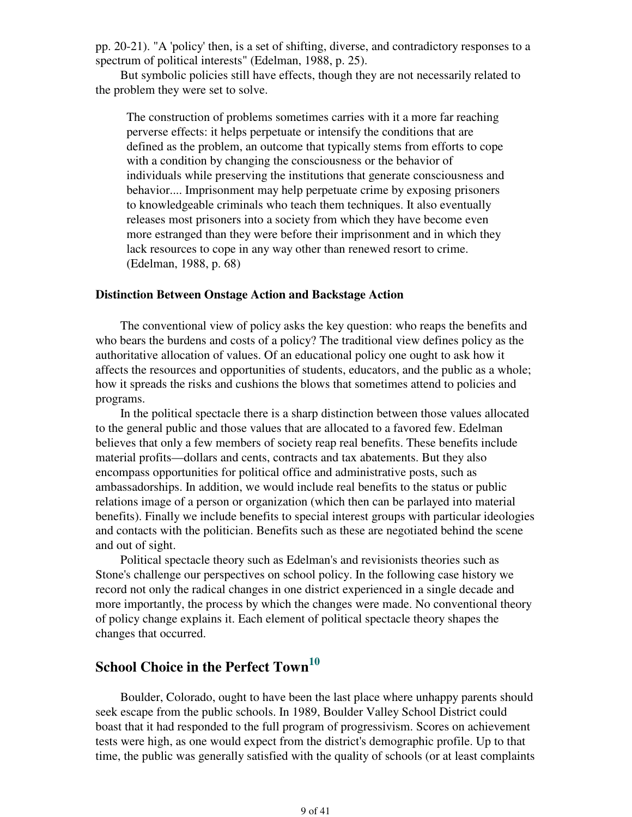pp. 20-21). "A 'policy' then, is a set of shifting, diverse, and contradictory responses to a spectrum of political interests" (Edelman, 1988, p. 25).

 But symbolic policies still have effects, though they are not necessarily related to the problem they were set to solve.

The construction of problems sometimes carries with it a more far reaching perverse effects: it helps perpetuate or intensify the conditions that are defined as the problem, an outcome that typically stems from efforts to cope with a condition by changing the consciousness or the behavior of individuals while preserving the institutions that generate consciousness and behavior.... Imprisonment may help perpetuate crime by exposing prisoners to knowledgeable criminals who teach them techniques. It also eventually releases most prisoners into a society from which they have become even more estranged than they were before their imprisonment and in which they lack resources to cope in any way other than renewed resort to crime. (Edelman, 1988, p. 68)

#### **Distinction Between Onstage Action and Backstage Action**

 The conventional view of policy asks the key question: who reaps the benefits and who bears the burdens and costs of a policy? The traditional view defines policy as the authoritative allocation of values. Of an educational policy one ought to ask how it affects the resources and opportunities of students, educators, and the public as a whole; how it spreads the risks and cushions the blows that sometimes attend to policies and programs.

 In the political spectacle there is a sharp distinction between those values allocated to the general public and those values that are allocated to a favored few. Edelman believes that only a few members of society reap real benefits. These benefits include material profits—dollars and cents, contracts and tax abatements. But they also encompass opportunities for political office and administrative posts, such as ambassadorships. In addition, we would include real benefits to the status or public relations image of a person or organization (which then can be parlayed into material benefits). Finally we include benefits to special interest groups with particular ideologies and contacts with the politician. Benefits such as these are negotiated behind the scene and out of sight.

 Political spectacle theory such as Edelman's and revisionists theories such as Stone's challenge our perspectives on school policy. In the following case history we record not only the radical changes in one district experienced in a single decade and more importantly, the process by which the changes were made. No conventional theory of policy change explains it. Each element of political spectacle theory shapes the changes that occurred.

# **School Choice in the Perfect Town<sup>10</sup>**

 Boulder, Colorado, ought to have been the last place where unhappy parents should seek escape from the public schools. In 1989, Boulder Valley School District could boast that it had responded to the full program of progressivism. Scores on achievement tests were high, as one would expect from the district's demographic profile. Up to that time, the public was generally satisfied with the quality of schools (or at least complaints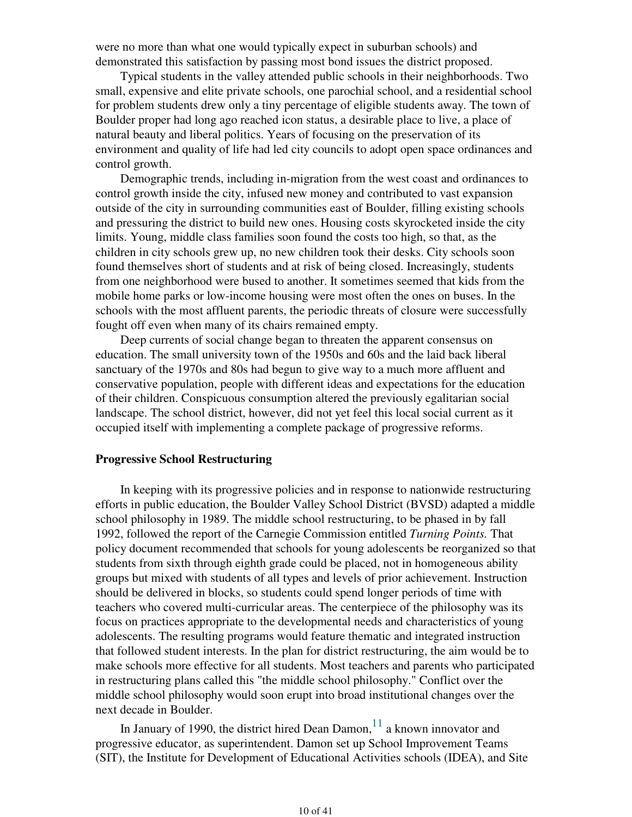were no more than what one would typically expect in suburban schools) and demonstrated this satisfaction by passing most bond issues the district proposed.

 Typical students in the valley attended public schools in their neighborhoods. Two small, expensive and elite private schools, one parochial school, and a residential school for problem students drew only a tiny percentage of eligible students away. The town of Boulder proper had long ago reached icon status, a desirable place to live, a place of natural beauty and liberal politics. Years of focusing on the preservation of its environment and quality of life had led city councils to adopt open space ordinances and control growth.

 Demographic trends, including in-migration from the west coast and ordinances to control growth inside the city, infused new money and contributed to vast expansion outside of the city in surrounding communities east of Boulder, filling existing schools and pressuring the district to build new ones. Housing costs skyrocketed inside the city limits. Young, middle class families soon found the costs too high, so that, as the children in city schools grew up, no new children took their desks. City schools soon found themselves short of students and at risk of being closed. Increasingly, students from one neighborhood were bused to another. It sometimes seemed that kids from the mobile home parks or low-income housing were most often the ones on buses. In the schools with the most affluent parents, the periodic threats of closure were successfully fought off even when many of its chairs remained empty.

 Deep currents of social change began to threaten the apparent consensus on education. The small university town of the 1950s and 60s and the laid back liberal sanctuary of the 1970s and 80s had begun to give way to a much more affluent and conservative population, people with different ideas and expectations for the education of their children. Conspicuous consumption altered the previously egalitarian social landscape. The school district, however, did not yet feel this local social current as it occupied itself with implementing a complete package of progressive reforms.

## **Progressive School Restructuring**

 In keeping with its progressive policies and in response to nationwide restructuring efforts in public education, the Boulder Valley School District (BVSD) adapted a middle school philosophy in 1989. The middle school restructuring, to be phased in by fall 1992, followed the report of the Carnegie Commission entitled *Turning Points.* That policy document recommended that schools for young adolescents be reorganized so that students from sixth through eighth grade could be placed, not in homogeneous ability groups but mixed with students of all types and levels of prior achievement. Instruction should be delivered in blocks, so students could spend longer periods of time with teachers who covered multi-curricular areas. The centerpiece of the philosophy was its focus on practices appropriate to the developmental needs and characteristics of young adolescents. The resulting programs would feature thematic and integrated instruction that followed student interests. In the plan for district restructuring, the aim would be to make schools more effective for all students. Most teachers and parents who participated in restructuring plans called this "the middle school philosophy." Conflict over the middle school philosophy would soon erupt into broad institutional changes over the next decade in Boulder.

In January of 1990, the district hired Dean Damon,  $11$  a known innovator and progressive educator, as superintendent. Damon set up School Improvement Teams (SIT), the Institute for Development of Educational Activities schools (IDEA), and Site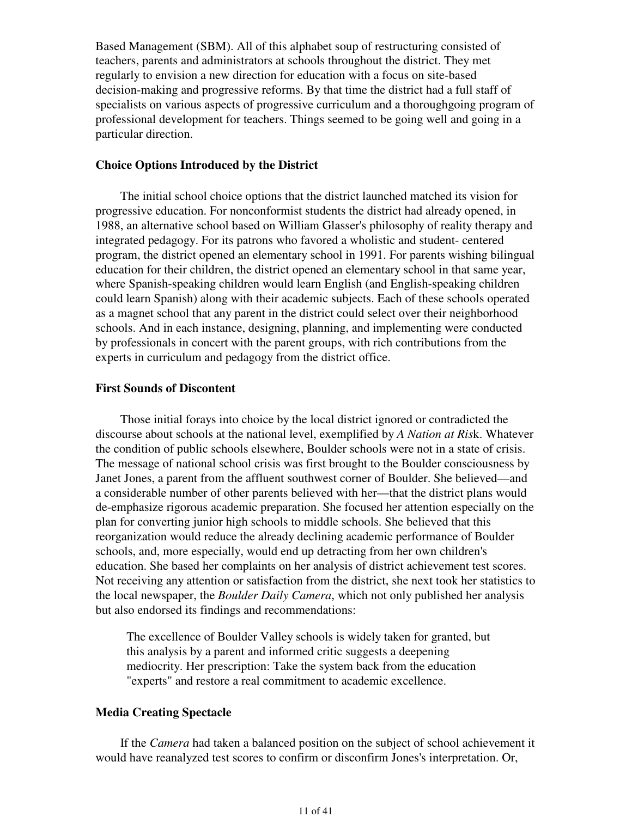Based Management (SBM). All of this alphabet soup of restructuring consisted of teachers, parents and administrators at schools throughout the district. They met regularly to envision a new direction for education with a focus on site-based decision-making and progressive reforms. By that time the district had a full staff of specialists on various aspects of progressive curriculum and a thoroughgoing program of professional development for teachers. Things seemed to be going well and going in a particular direction.

### **Choice Options Introduced by the District**

 The initial school choice options that the district launched matched its vision for progressive education. For nonconformist students the district had already opened, in 1988, an alternative school based on William Glasser's philosophy of reality therapy and integrated pedagogy. For its patrons who favored a wholistic and student- centered program, the district opened an elementary school in 1991. For parents wishing bilingual education for their children, the district opened an elementary school in that same year, where Spanish-speaking children would learn English (and English-speaking children could learn Spanish) along with their academic subjects. Each of these schools operated as a magnet school that any parent in the district could select over their neighborhood schools. And in each instance, designing, planning, and implementing were conducted by professionals in concert with the parent groups, with rich contributions from the experts in curriculum and pedagogy from the district office.

#### **First Sounds of Discontent**

 Those initial forays into choice by the local district ignored or contradicted the discourse about schools at the national level, exemplified by *A Nation at Ris*k. Whatever the condition of public schools elsewhere, Boulder schools were not in a state of crisis. The message of national school crisis was first brought to the Boulder consciousness by Janet Jones, a parent from the affluent southwest corner of Boulder. She believed—and a considerable number of other parents believed with her—that the district plans would de-emphasize rigorous academic preparation. She focused her attention especially on the plan for converting junior high schools to middle schools. She believed that this reorganization would reduce the already declining academic performance of Boulder schools, and, more especially, would end up detracting from her own children's education. She based her complaints on her analysis of district achievement test scores. Not receiving any attention or satisfaction from the district, she next took her statistics to the local newspaper, the *Boulder Daily Camera*, which not only published her analysis but also endorsed its findings and recommendations:

The excellence of Boulder Valley schools is widely taken for granted, but this analysis by a parent and informed critic suggests a deepening mediocrity. Her prescription: Take the system back from the education "experts" and restore a real commitment to academic excellence.

## **Media Creating Spectacle**

 If the *Camera* had taken a balanced position on the subject of school achievement it would have reanalyzed test scores to confirm or disconfirm Jones's interpretation. Or,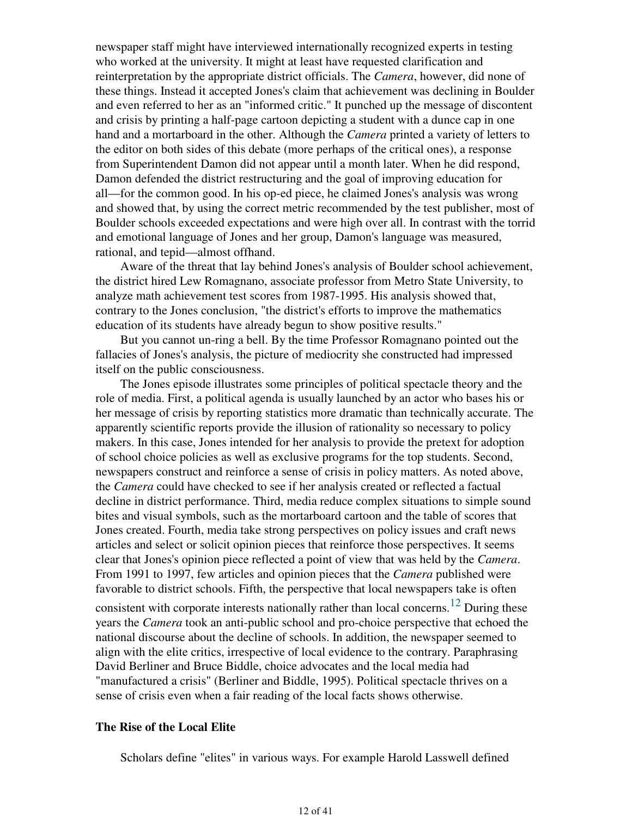newspaper staff might have interviewed internationally recognized experts in testing who worked at the university. It might at least have requested clarification and reinterpretation by the appropriate district officials. The *Camera*, however, did none of these things. Instead it accepted Jones's claim that achievement was declining in Boulder and even referred to her as an "informed critic." It punched up the message of discontent and crisis by printing a half-page cartoon depicting a student with a dunce cap in one hand and a mortarboard in the other. Although the *Camera* printed a variety of letters to the editor on both sides of this debate (more perhaps of the critical ones), a response from Superintendent Damon did not appear until a month later. When he did respond, Damon defended the district restructuring and the goal of improving education for all—for the common good. In his op-ed piece, he claimed Jones's analysis was wrong and showed that, by using the correct metric recommended by the test publisher, most of Boulder schools exceeded expectations and were high over all. In contrast with the torrid and emotional language of Jones and her group, Damon's language was measured, rational, and tepid—almost offhand.

 Aware of the threat that lay behind Jones's analysis of Boulder school achievement, the district hired Lew Romagnano, associate professor from Metro State University, to analyze math achievement test scores from 1987-1995. His analysis showed that, contrary to the Jones conclusion, "the district's efforts to improve the mathematics education of its students have already begun to show positive results."

 But you cannot un-ring a bell. By the time Professor Romagnano pointed out the fallacies of Jones's analysis, the picture of mediocrity she constructed had impressed itself on the public consciousness.

 The Jones episode illustrates some principles of political spectacle theory and the role of media. First, a political agenda is usually launched by an actor who bases his or her message of crisis by reporting statistics more dramatic than technically accurate. The apparently scientific reports provide the illusion of rationality so necessary to policy makers. In this case, Jones intended for her analysis to provide the pretext for adoption of school choice policies as well as exclusive programs for the top students. Second, newspapers construct and reinforce a sense of crisis in policy matters. As noted above, the *Camera* could have checked to see if her analysis created or reflected a factual decline in district performance. Third, media reduce complex situations to simple sound bites and visual symbols, such as the mortarboard cartoon and the table of scores that Jones created. Fourth, media take strong perspectives on policy issues and craft news articles and select or solicit opinion pieces that reinforce those perspectives. It seems clear that Jones's opinion piece reflected a point of view that was held by the *Camera*. From 1991 to 1997, few articles and opinion pieces that the *Camera* published were favorable to district schools. Fifth, the perspective that local newspapers take is often

consistent with corporate interests nationally rather than local concerns.<sup>12</sup> During these years the *Camera* took an anti-public school and pro-choice perspective that echoed the national discourse about the decline of schools. In addition, the newspaper seemed to align with the elite critics, irrespective of local evidence to the contrary. Paraphrasing David Berliner and Bruce Biddle, choice advocates and the local media had "manufactured a crisis" (Berliner and Biddle, 1995). Political spectacle thrives on a sense of crisis even when a fair reading of the local facts shows otherwise.

#### **The Rise of the Local Elite**

Scholars define "elites" in various ways. For example Harold Lasswell defined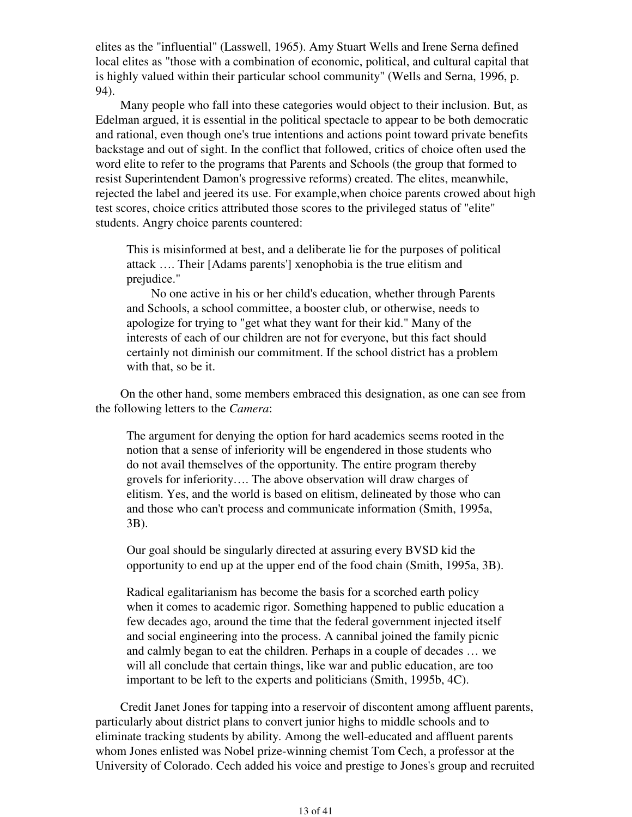elites as the "influential" (Lasswell, 1965). Amy Stuart Wells and Irene Serna defined local elites as "those with a combination of economic, political, and cultural capital that is highly valued within their particular school community" (Wells and Serna, 1996, p. 94).

 Many people who fall into these categories would object to their inclusion. But, as Edelman argued, it is essential in the political spectacle to appear to be both democratic and rational, even though one's true intentions and actions point toward private benefits backstage and out of sight. In the conflict that followed, critics of choice often used the word elite to refer to the programs that Parents and Schools (the group that formed to resist Superintendent Damon's progressive reforms) created. The elites, meanwhile, rejected the label and jeered its use. For example,when choice parents crowed about high test scores, choice critics attributed those scores to the privileged status of "elite" students. Angry choice parents countered:

This is misinformed at best, and a deliberate lie for the purposes of political attack …. Their [Adams parents'] xenophobia is the true elitism and prejudice."

 No one active in his or her child's education, whether through Parents and Schools, a school committee, a booster club, or otherwise, needs to apologize for trying to "get what they want for their kid." Many of the interests of each of our children are not for everyone, but this fact should certainly not diminish our commitment. If the school district has a problem with that, so be it.

 On the other hand, some members embraced this designation, as one can see from the following letters to the *Camera*:

The argument for denying the option for hard academics seems rooted in the notion that a sense of inferiority will be engendered in those students who do not avail themselves of the opportunity. The entire program thereby grovels for inferiority…. The above observation will draw charges of elitism. Yes, and the world is based on elitism, delineated by those who can and those who can't process and communicate information (Smith, 1995a, 3B).

Our goal should be singularly directed at assuring every BVSD kid the opportunity to end up at the upper end of the food chain (Smith, 1995a, 3B).

Radical egalitarianism has become the basis for a scorched earth policy when it comes to academic rigor. Something happened to public education a few decades ago, around the time that the federal government injected itself and social engineering into the process. A cannibal joined the family picnic and calmly began to eat the children. Perhaps in a couple of decades … we will all conclude that certain things, like war and public education, are too important to be left to the experts and politicians (Smith, 1995b, 4C).

 Credit Janet Jones for tapping into a reservoir of discontent among affluent parents, particularly about district plans to convert junior highs to middle schools and to eliminate tracking students by ability. Among the well-educated and affluent parents whom Jones enlisted was Nobel prize-winning chemist Tom Cech, a professor at the University of Colorado. Cech added his voice and prestige to Jones's group and recruited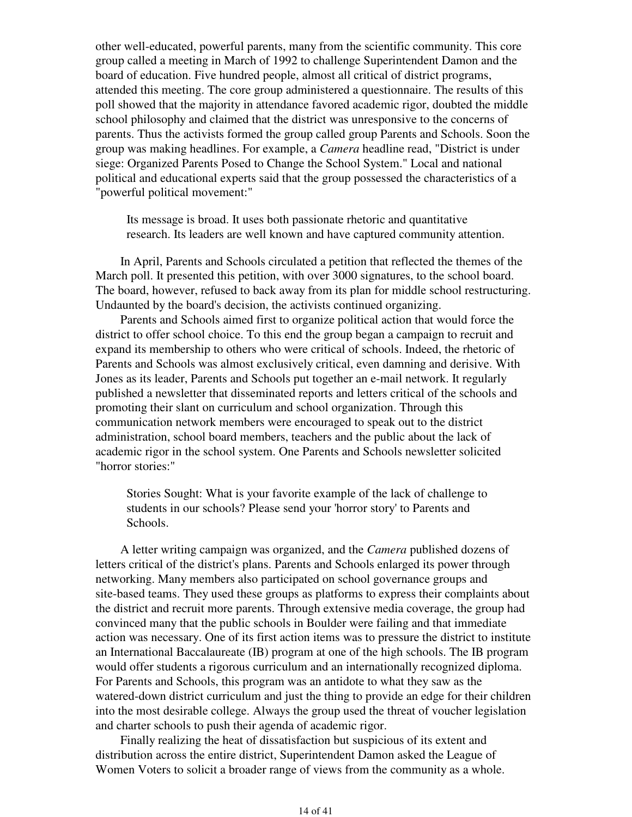other well-educated, powerful parents, many from the scientific community. This core group called a meeting in March of 1992 to challenge Superintendent Damon and the board of education. Five hundred people, almost all critical of district programs, attended this meeting. The core group administered a questionnaire. The results of this poll showed that the majority in attendance favored academic rigor, doubted the middle school philosophy and claimed that the district was unresponsive to the concerns of parents. Thus the activists formed the group called group Parents and Schools. Soon the group was making headlines. For example, a *Camera* headline read, "District is under siege: Organized Parents Posed to Change the School System." Local and national political and educational experts said that the group possessed the characteristics of a "powerful political movement:"

Its message is broad. It uses both passionate rhetoric and quantitative research. Its leaders are well known and have captured community attention.

 In April, Parents and Schools circulated a petition that reflected the themes of the March poll. It presented this petition, with over 3000 signatures, to the school board. The board, however, refused to back away from its plan for middle school restructuring. Undaunted by the board's decision, the activists continued organizing.

 Parents and Schools aimed first to organize political action that would force the district to offer school choice. To this end the group began a campaign to recruit and expand its membership to others who were critical of schools. Indeed, the rhetoric of Parents and Schools was almost exclusively critical, even damning and derisive. With Jones as its leader, Parents and Schools put together an e-mail network. It regularly published a newsletter that disseminated reports and letters critical of the schools and promoting their slant on curriculum and school organization. Through this communication network members were encouraged to speak out to the district administration, school board members, teachers and the public about the lack of academic rigor in the school system. One Parents and Schools newsletter solicited "horror stories:"

Stories Sought: What is your favorite example of the lack of challenge to students in our schools? Please send your 'horror story' to Parents and Schools.

 A letter writing campaign was organized, and the *Camera* published dozens of letters critical of the district's plans. Parents and Schools enlarged its power through networking. Many members also participated on school governance groups and site-based teams. They used these groups as platforms to express their complaints about the district and recruit more parents. Through extensive media coverage, the group had convinced many that the public schools in Boulder were failing and that immediate action was necessary. One of its first action items was to pressure the district to institute an International Baccalaureate (IB) program at one of the high schools. The IB program would offer students a rigorous curriculum and an internationally recognized diploma. For Parents and Schools, this program was an antidote to what they saw as the watered-down district curriculum and just the thing to provide an edge for their children into the most desirable college. Always the group used the threat of voucher legislation and charter schools to push their agenda of academic rigor.

 Finally realizing the heat of dissatisfaction but suspicious of its extent and distribution across the entire district, Superintendent Damon asked the League of Women Voters to solicit a broader range of views from the community as a whole.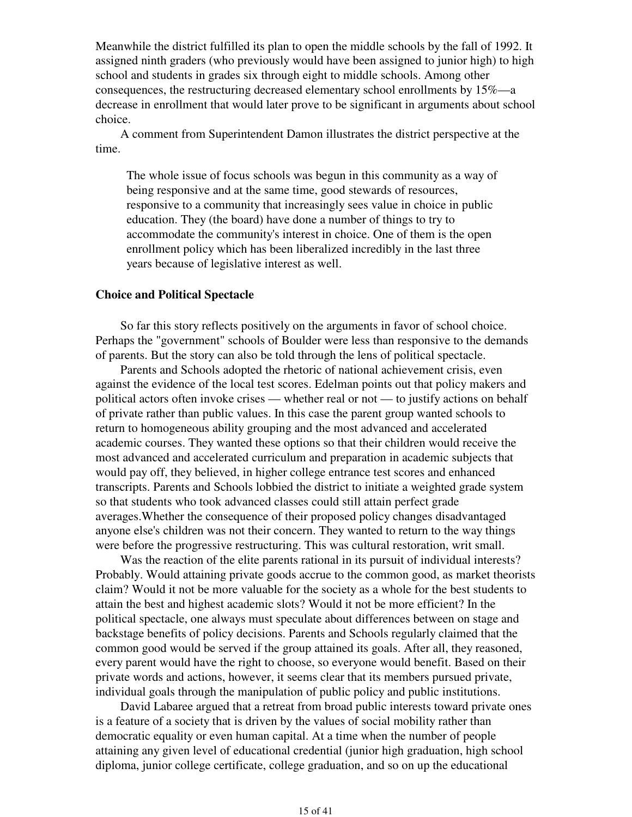Meanwhile the district fulfilled its plan to open the middle schools by the fall of 1992. It assigned ninth graders (who previously would have been assigned to junior high) to high school and students in grades six through eight to middle schools. Among other consequences, the restructuring decreased elementary school enrollments by 15%—a decrease in enrollment that would later prove to be significant in arguments about school choice.

 A comment from Superintendent Damon illustrates the district perspective at the time.

The whole issue of focus schools was begun in this community as a way of being responsive and at the same time, good stewards of resources, responsive to a community that increasingly sees value in choice in public education. They (the board) have done a number of things to try to accommodate the community's interest in choice. One of them is the open enrollment policy which has been liberalized incredibly in the last three years because of legislative interest as well.

#### **Choice and Political Spectacle**

 So far this story reflects positively on the arguments in favor of school choice. Perhaps the "government" schools of Boulder were less than responsive to the demands of parents. But the story can also be told through the lens of political spectacle.

 Parents and Schools adopted the rhetoric of national achievement crisis, even against the evidence of the local test scores. Edelman points out that policy makers and political actors often invoke crises — whether real or not — to justify actions on behalf of private rather than public values. In this case the parent group wanted schools to return to homogeneous ability grouping and the most advanced and accelerated academic courses. They wanted these options so that their children would receive the most advanced and accelerated curriculum and preparation in academic subjects that would pay off, they believed, in higher college entrance test scores and enhanced transcripts. Parents and Schools lobbied the district to initiate a weighted grade system so that students who took advanced classes could still attain perfect grade averages.Whether the consequence of their proposed policy changes disadvantaged anyone else's children was not their concern. They wanted to return to the way things were before the progressive restructuring. This was cultural restoration, writ small.

 Was the reaction of the elite parents rational in its pursuit of individual interests? Probably. Would attaining private goods accrue to the common good, as market theorists claim? Would it not be more valuable for the society as a whole for the best students to attain the best and highest academic slots? Would it not be more efficient? In the political spectacle, one always must speculate about differences between on stage and backstage benefits of policy decisions. Parents and Schools regularly claimed that the common good would be served if the group attained its goals. After all, they reasoned, every parent would have the right to choose, so everyone would benefit. Based on their private words and actions, however, it seems clear that its members pursued private, individual goals through the manipulation of public policy and public institutions.

 David Labaree argued that a retreat from broad public interests toward private ones is a feature of a society that is driven by the values of social mobility rather than democratic equality or even human capital. At a time when the number of people attaining any given level of educational credential (junior high graduation, high school diploma, junior college certificate, college graduation, and so on up the educational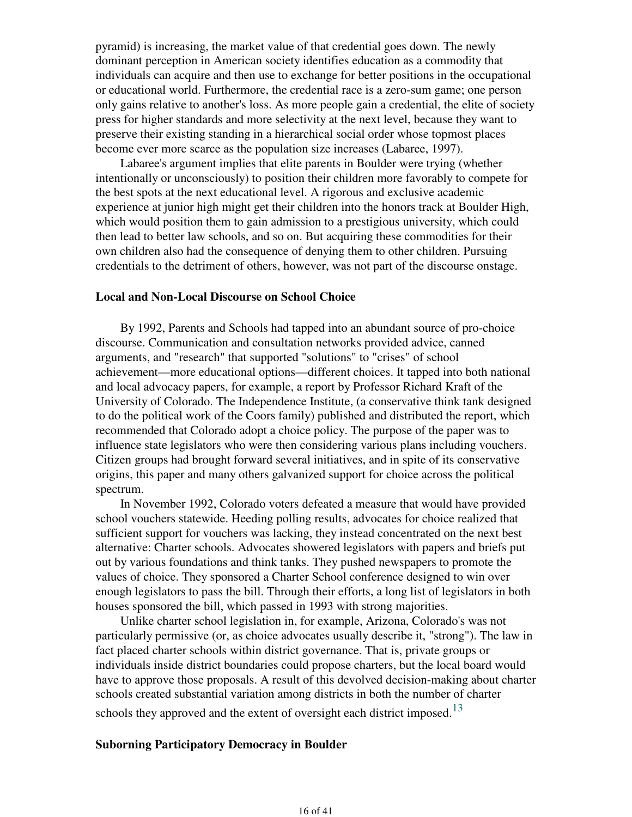pyramid) is increasing, the market value of that credential goes down. The newly dominant perception in American society identifies education as a commodity that individuals can acquire and then use to exchange for better positions in the occupational or educational world. Furthermore, the credential race is a zero-sum game; one person only gains relative to another's loss. As more people gain a credential, the elite of society press for higher standards and more selectivity at the next level, because they want to preserve their existing standing in a hierarchical social order whose topmost places become ever more scarce as the population size increases (Labaree, 1997).

 Labaree's argument implies that elite parents in Boulder were trying (whether intentionally or unconsciously) to position their children more favorably to compete for the best spots at the next educational level. A rigorous and exclusive academic experience at junior high might get their children into the honors track at Boulder High, which would position them to gain admission to a prestigious university, which could then lead to better law schools, and so on. But acquiring these commodities for their own children also had the consequence of denying them to other children. Pursuing credentials to the detriment of others, however, was not part of the discourse onstage.

### **Local and Non-Local Discourse on School Choice**

 By 1992, Parents and Schools had tapped into an abundant source of pro-choice discourse. Communication and consultation networks provided advice, canned arguments, and "research" that supported "solutions" to "crises" of school achievement—more educational options—different choices. It tapped into both national and local advocacy papers, for example, a report by Professor Richard Kraft of the University of Colorado. The Independence Institute, (a conservative think tank designed to do the political work of the Coors family) published and distributed the report, which recommended that Colorado adopt a choice policy. The purpose of the paper was to influence state legislators who were then considering various plans including vouchers. Citizen groups had brought forward several initiatives, and in spite of its conservative origins, this paper and many others galvanized support for choice across the political spectrum.

 In November 1992, Colorado voters defeated a measure that would have provided school vouchers statewide. Heeding polling results, advocates for choice realized that sufficient support for vouchers was lacking, they instead concentrated on the next best alternative: Charter schools. Advocates showered legislators with papers and briefs put out by various foundations and think tanks. They pushed newspapers to promote the values of choice. They sponsored a Charter School conference designed to win over enough legislators to pass the bill. Through their efforts, a long list of legislators in both houses sponsored the bill, which passed in 1993 with strong majorities.

 Unlike charter school legislation in, for example, Arizona, Colorado's was not particularly permissive (or, as choice advocates usually describe it, "strong"). The law in fact placed charter schools within district governance. That is, private groups or individuals inside district boundaries could propose charters, but the local board would have to approve those proposals. A result of this devolved decision-making about charter schools created substantial variation among districts in both the number of charter

schools they approved and the extent of oversight each district imposed.<sup>13</sup>

### **Suborning Participatory Democracy in Boulder**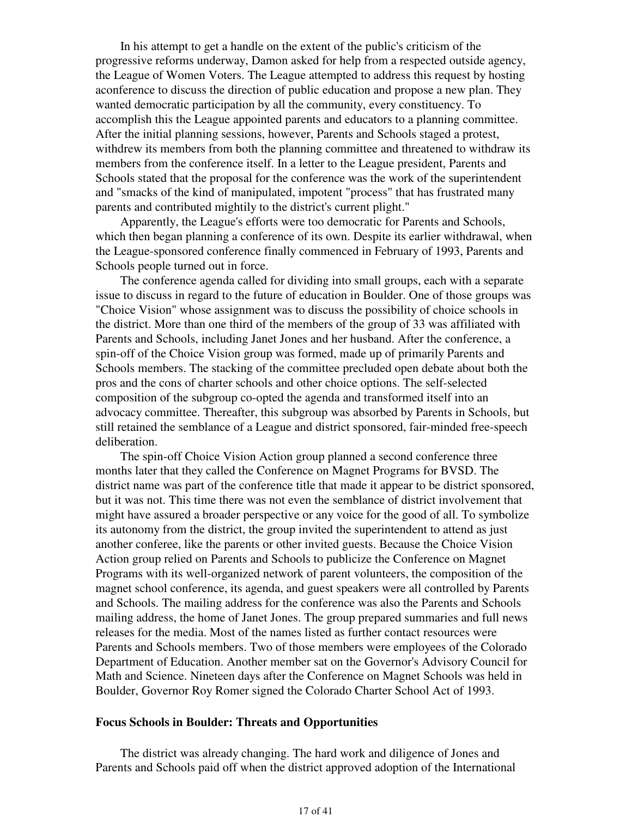In his attempt to get a handle on the extent of the public's criticism of the progressive reforms underway, Damon asked for help from a respected outside agency, the League of Women Voters. The League attempted to address this request by hosting aconference to discuss the direction of public education and propose a new plan. They wanted democratic participation by all the community, every constituency. To accomplish this the League appointed parents and educators to a planning committee. After the initial planning sessions, however, Parents and Schools staged a protest, withdrew its members from both the planning committee and threatened to withdraw its members from the conference itself. In a letter to the League president, Parents and Schools stated that the proposal for the conference was the work of the superintendent and "smacks of the kind of manipulated, impotent "process" that has frustrated many parents and contributed mightily to the district's current plight."

 Apparently, the League's efforts were too democratic for Parents and Schools, which then began planning a conference of its own. Despite its earlier withdrawal, when the League-sponsored conference finally commenced in February of 1993, Parents and Schools people turned out in force.

 The conference agenda called for dividing into small groups, each with a separate issue to discuss in regard to the future of education in Boulder. One of those groups was "Choice Vision" whose assignment was to discuss the possibility of choice schools in the district. More than one third of the members of the group of 33 was affiliated with Parents and Schools, including Janet Jones and her husband. After the conference, a spin-off of the Choice Vision group was formed, made up of primarily Parents and Schools members. The stacking of the committee precluded open debate about both the pros and the cons of charter schools and other choice options. The self-selected composition of the subgroup co-opted the agenda and transformed itself into an advocacy committee. Thereafter, this subgroup was absorbed by Parents in Schools, but still retained the semblance of a League and district sponsored, fair-minded free-speech deliberation.

 The spin-off Choice Vision Action group planned a second conference three months later that they called the Conference on Magnet Programs for BVSD. The district name was part of the conference title that made it appear to be district sponsored, but it was not. This time there was not even the semblance of district involvement that might have assured a broader perspective or any voice for the good of all. To symbolize its autonomy from the district, the group invited the superintendent to attend as just another conferee, like the parents or other invited guests. Because the Choice Vision Action group relied on Parents and Schools to publicize the Conference on Magnet Programs with its well-organized network of parent volunteers, the composition of the magnet school conference, its agenda, and guest speakers were all controlled by Parents and Schools. The mailing address for the conference was also the Parents and Schools mailing address, the home of Janet Jones. The group prepared summaries and full news releases for the media. Most of the names listed as further contact resources were Parents and Schools members. Two of those members were employees of the Colorado Department of Education. Another member sat on the Governor's Advisory Council for Math and Science. Nineteen days after the Conference on Magnet Schools was held in Boulder, Governor Roy Romer signed the Colorado Charter School Act of 1993.

#### **Focus Schools in Boulder: Threats and Opportunities**

 The district was already changing. The hard work and diligence of Jones and Parents and Schools paid off when the district approved adoption of the International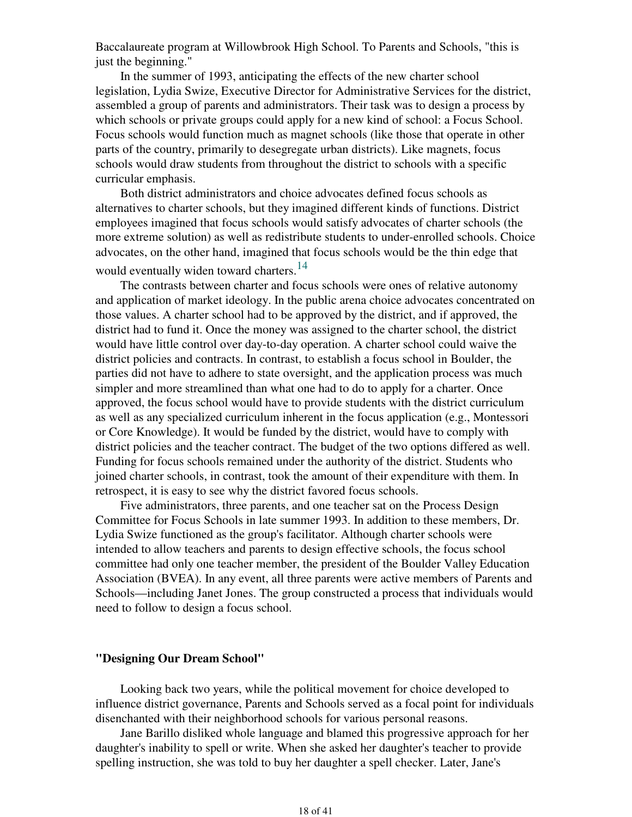Baccalaureate program at Willowbrook High School. To Parents and Schools, "this is just the beginning."

 In the summer of 1993, anticipating the effects of the new charter school legislation, Lydia Swize, Executive Director for Administrative Services for the district, assembled a group of parents and administrators. Their task was to design a process by which schools or private groups could apply for a new kind of school: a Focus School. Focus schools would function much as magnet schools (like those that operate in other parts of the country, primarily to desegregate urban districts). Like magnets, focus schools would draw students from throughout the district to schools with a specific curricular emphasis.

 Both district administrators and choice advocates defined focus schools as alternatives to charter schools, but they imagined different kinds of functions. District employees imagined that focus schools would satisfy advocates of charter schools (the more extreme solution) as well as redistribute students to under-enrolled schools. Choice advocates, on the other hand, imagined that focus schools would be the thin edge that would eventually widen toward charters.<sup>14</sup>

 The contrasts between charter and focus schools were ones of relative autonomy and application of market ideology. In the public arena choice advocates concentrated on those values. A charter school had to be approved by the district, and if approved, the district had to fund it. Once the money was assigned to the charter school, the district would have little control over day-to-day operation. A charter school could waive the district policies and contracts. In contrast, to establish a focus school in Boulder, the parties did not have to adhere to state oversight, and the application process was much simpler and more streamlined than what one had to do to apply for a charter. Once approved, the focus school would have to provide students with the district curriculum as well as any specialized curriculum inherent in the focus application (e.g., Montessori or Core Knowledge). It would be funded by the district, would have to comply with district policies and the teacher contract. The budget of the two options differed as well. Funding for focus schools remained under the authority of the district. Students who joined charter schools, in contrast, took the amount of their expenditure with them. In retrospect, it is easy to see why the district favored focus schools.

 Five administrators, three parents, and one teacher sat on the Process Design Committee for Focus Schools in late summer 1993. In addition to these members, Dr. Lydia Swize functioned as the group's facilitator. Although charter schools were intended to allow teachers and parents to design effective schools, the focus school committee had only one teacher member, the president of the Boulder Valley Education Association (BVEA). In any event, all three parents were active members of Parents and Schools—including Janet Jones. The group constructed a process that individuals would need to follow to design a focus school.

## **"Designing Our Dream School"**

 Looking back two years, while the political movement for choice developed to influence district governance, Parents and Schools served as a focal point for individuals disenchanted with their neighborhood schools for various personal reasons.

 Jane Barillo disliked whole language and blamed this progressive approach for her daughter's inability to spell or write. When she asked her daughter's teacher to provide spelling instruction, she was told to buy her daughter a spell checker. Later, Jane's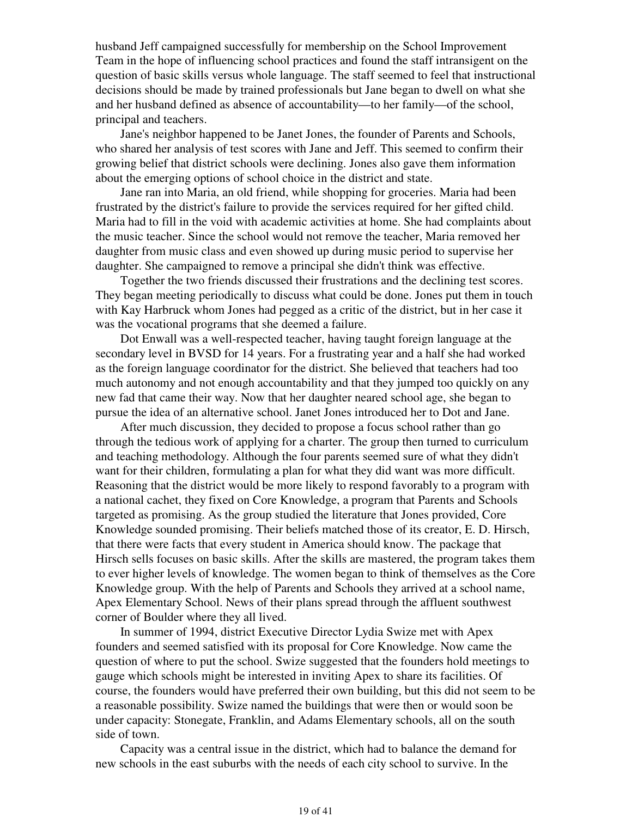husband Jeff campaigned successfully for membership on the School Improvement Team in the hope of influencing school practices and found the staff intransigent on the question of basic skills versus whole language. The staff seemed to feel that instructional decisions should be made by trained professionals but Jane began to dwell on what she and her husband defined as absence of accountability—to her family—of the school, principal and teachers.

 Jane's neighbor happened to be Janet Jones, the founder of Parents and Schools, who shared her analysis of test scores with Jane and Jeff. This seemed to confirm their growing belief that district schools were declining. Jones also gave them information about the emerging options of school choice in the district and state.

 Jane ran into Maria, an old friend, while shopping for groceries. Maria had been frustrated by the district's failure to provide the services required for her gifted child. Maria had to fill in the void with academic activities at home. She had complaints about the music teacher. Since the school would not remove the teacher, Maria removed her daughter from music class and even showed up during music period to supervise her daughter. She campaigned to remove a principal she didn't think was effective.

 Together the two friends discussed their frustrations and the declining test scores. They began meeting periodically to discuss what could be done. Jones put them in touch with Kay Harbruck whom Jones had pegged as a critic of the district, but in her case it was the vocational programs that she deemed a failure.

 Dot Enwall was a well-respected teacher, having taught foreign language at the secondary level in BVSD for 14 years. For a frustrating year and a half she had worked as the foreign language coordinator for the district. She believed that teachers had too much autonomy and not enough accountability and that they jumped too quickly on any new fad that came their way. Now that her daughter neared school age, she began to pursue the idea of an alternative school. Janet Jones introduced her to Dot and Jane.

 After much discussion, they decided to propose a focus school rather than go through the tedious work of applying for a charter. The group then turned to curriculum and teaching methodology. Although the four parents seemed sure of what they didn't want for their children, formulating a plan for what they did want was more difficult. Reasoning that the district would be more likely to respond favorably to a program with a national cachet, they fixed on Core Knowledge, a program that Parents and Schools targeted as promising. As the group studied the literature that Jones provided, Core Knowledge sounded promising. Their beliefs matched those of its creator, E. D. Hirsch, that there were facts that every student in America should know. The package that Hirsch sells focuses on basic skills. After the skills are mastered, the program takes them to ever higher levels of knowledge. The women began to think of themselves as the Core Knowledge group. With the help of Parents and Schools they arrived at a school name, Apex Elementary School. News of their plans spread through the affluent southwest corner of Boulder where they all lived.

 In summer of 1994, district Executive Director Lydia Swize met with Apex founders and seemed satisfied with its proposal for Core Knowledge. Now came the question of where to put the school. Swize suggested that the founders hold meetings to gauge which schools might be interested in inviting Apex to share its facilities. Of course, the founders would have preferred their own building, but this did not seem to be a reasonable possibility. Swize named the buildings that were then or would soon be under capacity: Stonegate, Franklin, and Adams Elementary schools, all on the south side of town.

 Capacity was a central issue in the district, which had to balance the demand for new schools in the east suburbs with the needs of each city school to survive. In the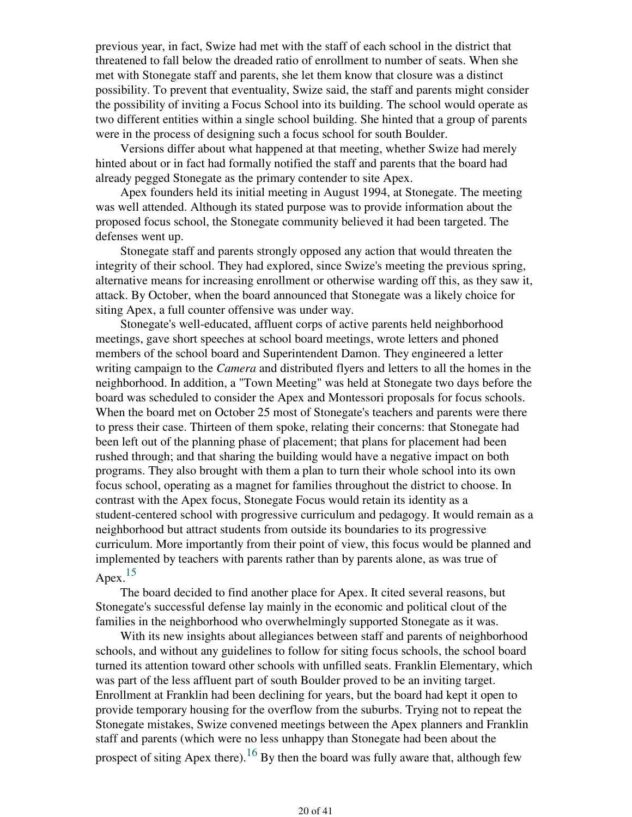previous year, in fact, Swize had met with the staff of each school in the district that threatened to fall below the dreaded ratio of enrollment to number of seats. When she met with Stonegate staff and parents, she let them know that closure was a distinct possibility. To prevent that eventuality, Swize said, the staff and parents might consider the possibility of inviting a Focus School into its building. The school would operate as two different entities within a single school building. She hinted that a group of parents were in the process of designing such a focus school for south Boulder.

 Versions differ about what happened at that meeting, whether Swize had merely hinted about or in fact had formally notified the staff and parents that the board had already pegged Stonegate as the primary contender to site Apex.

 Apex founders held its initial meeting in August 1994, at Stonegate. The meeting was well attended. Although its stated purpose was to provide information about the proposed focus school, the Stonegate community believed it had been targeted. The defenses went up.

 Stonegate staff and parents strongly opposed any action that would threaten the integrity of their school. They had explored, since Swize's meeting the previous spring, alternative means for increasing enrollment or otherwise warding off this, as they saw it, attack. By October, when the board announced that Stonegate was a likely choice for siting Apex, a full counter offensive was under way.

 Stonegate's well-educated, affluent corps of active parents held neighborhood meetings, gave short speeches at school board meetings, wrote letters and phoned members of the school board and Superintendent Damon. They engineered a letter writing campaign to the *Camera* and distributed flyers and letters to all the homes in the neighborhood. In addition, a "Town Meeting" was held at Stonegate two days before the board was scheduled to consider the Apex and Montessori proposals for focus schools. When the board met on October 25 most of Stonegate's teachers and parents were there to press their case. Thirteen of them spoke, relating their concerns: that Stonegate had been left out of the planning phase of placement; that plans for placement had been rushed through; and that sharing the building would have a negative impact on both programs. They also brought with them a plan to turn their whole school into its own focus school, operating as a magnet for families throughout the district to choose. In contrast with the Apex focus, Stonegate Focus would retain its identity as a student-centered school with progressive curriculum and pedagogy. It would remain as a neighborhood but attract students from outside its boundaries to its progressive curriculum. More importantly from their point of view, this focus would be planned and implemented by teachers with parents rather than by parents alone, as was true of Apex.<sup>15</sup>

 The board decided to find another place for Apex. It cited several reasons, but Stonegate's successful defense lay mainly in the economic and political clout of the families in the neighborhood who overwhelmingly supported Stonegate as it was.

With its new insights about allegiances between staff and parents of neighborhood schools, and without any guidelines to follow for siting focus schools, the school board turned its attention toward other schools with unfilled seats. Franklin Elementary, which was part of the less affluent part of south Boulder proved to be an inviting target. Enrollment at Franklin had been declining for years, but the board had kept it open to provide temporary housing for the overflow from the suburbs. Trying not to repeat the Stonegate mistakes, Swize convened meetings between the Apex planners and Franklin staff and parents (which were no less unhappy than Stonegate had been about the prospect of siting Apex there).<sup>16</sup> By then the board was fully aware that, although few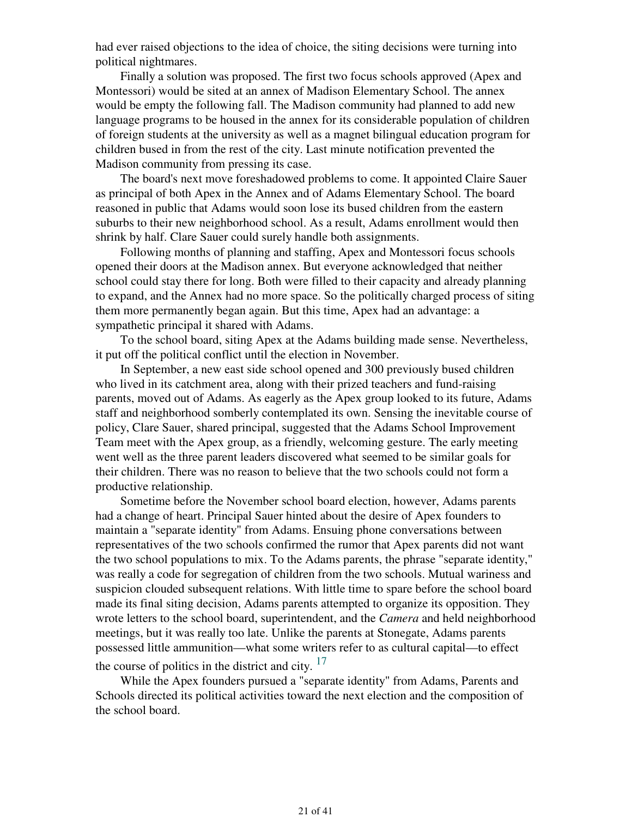had ever raised objections to the idea of choice, the siting decisions were turning into political nightmares.

 Finally a solution was proposed. The first two focus schools approved (Apex and Montessori) would be sited at an annex of Madison Elementary School. The annex would be empty the following fall. The Madison community had planned to add new language programs to be housed in the annex for its considerable population of children of foreign students at the university as well as a magnet bilingual education program for children bused in from the rest of the city. Last minute notification prevented the Madison community from pressing its case.

 The board's next move foreshadowed problems to come. It appointed Claire Sauer as principal of both Apex in the Annex and of Adams Elementary School. The board reasoned in public that Adams would soon lose its bused children from the eastern suburbs to their new neighborhood school. As a result, Adams enrollment would then shrink by half. Clare Sauer could surely handle both assignments.

 Following months of planning and staffing, Apex and Montessori focus schools opened their doors at the Madison annex. But everyone acknowledged that neither school could stay there for long. Both were filled to their capacity and already planning to expand, and the Annex had no more space. So the politically charged process of siting them more permanently began again. But this time, Apex had an advantage: a sympathetic principal it shared with Adams.

 To the school board, siting Apex at the Adams building made sense. Nevertheless, it put off the political conflict until the election in November.

 In September, a new east side school opened and 300 previously bused children who lived in its catchment area, along with their prized teachers and fund-raising parents, moved out of Adams. As eagerly as the Apex group looked to its future, Adams staff and neighborhood somberly contemplated its own. Sensing the inevitable course of policy, Clare Sauer, shared principal, suggested that the Adams School Improvement Team meet with the Apex group, as a friendly, welcoming gesture. The early meeting went well as the three parent leaders discovered what seemed to be similar goals for their children. There was no reason to believe that the two schools could not form a productive relationship.

 Sometime before the November school board election, however, Adams parents had a change of heart. Principal Sauer hinted about the desire of Apex founders to maintain a "separate identity" from Adams. Ensuing phone conversations between representatives of the two schools confirmed the rumor that Apex parents did not want the two school populations to mix. To the Adams parents, the phrase "separate identity," was really a code for segregation of children from the two schools. Mutual wariness and suspicion clouded subsequent relations. With little time to spare before the school board made its final siting decision, Adams parents attempted to organize its opposition. They wrote letters to the school board, superintendent, and the *Camera* and held neighborhood meetings, but it was really too late. Unlike the parents at Stonegate, Adams parents possessed little ammunition—what some writers refer to as cultural capital—to effect the course of politics in the district and city. <sup>17</sup>

 While the Apex founders pursued a "separate identity" from Adams, Parents and Schools directed its political activities toward the next election and the composition of the school board.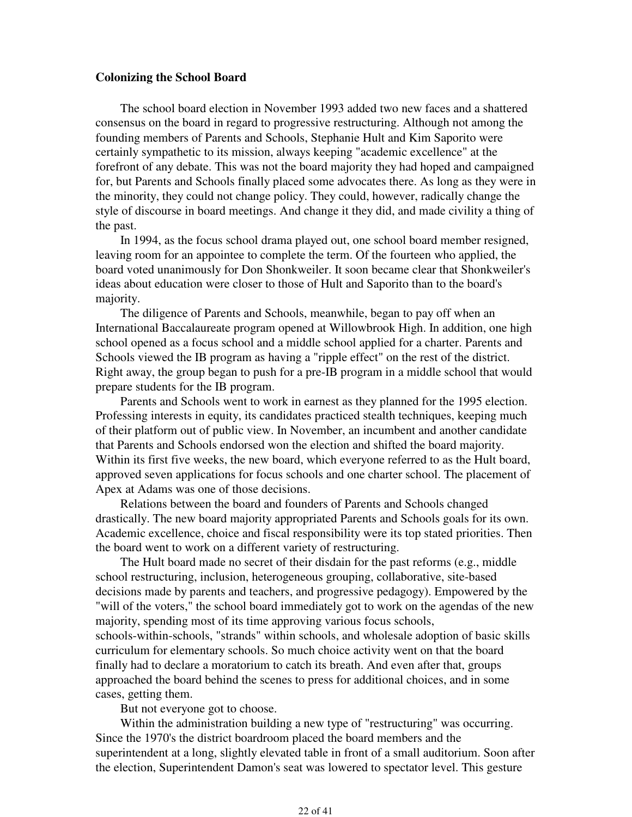#### **Colonizing the School Board**

 The school board election in November 1993 added two new faces and a shattered consensus on the board in regard to progressive restructuring. Although not among the founding members of Parents and Schools, Stephanie Hult and Kim Saporito were certainly sympathetic to its mission, always keeping "academic excellence" at the forefront of any debate. This was not the board majority they had hoped and campaigned for, but Parents and Schools finally placed some advocates there. As long as they were in the minority, they could not change policy. They could, however, radically change the style of discourse in board meetings. And change it they did, and made civility a thing of the past.

 In 1994, as the focus school drama played out, one school board member resigned, leaving room for an appointee to complete the term. Of the fourteen who applied, the board voted unanimously for Don Shonkweiler. It soon became clear that Shonkweiler's ideas about education were closer to those of Hult and Saporito than to the board's majority.

 The diligence of Parents and Schools, meanwhile, began to pay off when an International Baccalaureate program opened at Willowbrook High. In addition, one high school opened as a focus school and a middle school applied for a charter. Parents and Schools viewed the IB program as having a "ripple effect" on the rest of the district. Right away, the group began to push for a pre-IB program in a middle school that would prepare students for the IB program.

 Parents and Schools went to work in earnest as they planned for the 1995 election. Professing interests in equity, its candidates practiced stealth techniques, keeping much of their platform out of public view. In November, an incumbent and another candidate that Parents and Schools endorsed won the election and shifted the board majority. Within its first five weeks, the new board, which everyone referred to as the Hult board, approved seven applications for focus schools and one charter school. The placement of Apex at Adams was one of those decisions.

 Relations between the board and founders of Parents and Schools changed drastically. The new board majority appropriated Parents and Schools goals for its own. Academic excellence, choice and fiscal responsibility were its top stated priorities. Then the board went to work on a different variety of restructuring.

 The Hult board made no secret of their disdain for the past reforms (e.g., middle school restructuring, inclusion, heterogeneous grouping, collaborative, site-based decisions made by parents and teachers, and progressive pedagogy). Empowered by the "will of the voters," the school board immediately got to work on the agendas of the new majority, spending most of its time approving various focus schools, schools-within-schools, "strands" within schools, and wholesale adoption of basic skills curriculum for elementary schools. So much choice activity went on that the board finally had to declare a moratorium to catch its breath. And even after that, groups

approached the board behind the scenes to press for additional choices, and in some cases, getting them.

But not everyone got to choose.

 Within the administration building a new type of "restructuring" was occurring. Since the 1970's the district boardroom placed the board members and the superintendent at a long, slightly elevated table in front of a small auditorium. Soon after the election, Superintendent Damon's seat was lowered to spectator level. This gesture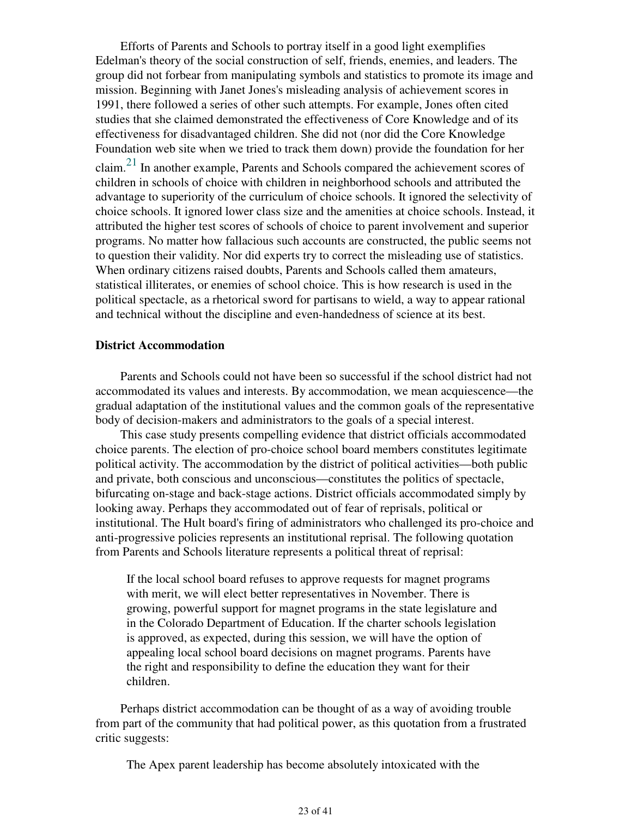Efforts of Parents and Schools to portray itself in a good light exemplifies Edelman's theory of the social construction of self, friends, enemies, and leaders. The group did not forbear from manipulating symbols and statistics to promote its image and mission. Beginning with Janet Jones's misleading analysis of achievement scores in 1991, there followed a series of other such attempts. For example, Jones often cited studies that she claimed demonstrated the effectiveness of Core Knowledge and of its effectiveness for disadvantaged children. She did not (nor did the Core Knowledge Foundation web site when we tried to track them down) provide the foundation for her claim.<sup>21</sup> In another example, Parents and Schools compared the achievement scores of children in schools of choice with children in neighborhood schools and attributed the advantage to superiority of the curriculum of choice schools. It ignored the selectivity of choice schools. It ignored lower class size and the amenities at choice schools. Instead, it attributed the higher test scores of schools of choice to parent involvement and superior programs. No matter how fallacious such accounts are constructed, the public seems not to question their validity. Nor did experts try to correct the misleading use of statistics. When ordinary citizens raised doubts, Parents and Schools called them amateurs, statistical illiterates, or enemies of school choice. This is how research is used in the political spectacle, as a rhetorical sword for partisans to wield, a way to appear rational

#### **District Accommodation**

 Parents and Schools could not have been so successful if the school district had not accommodated its values and interests. By accommodation, we mean acquiescence—the gradual adaptation of the institutional values and the common goals of the representative body of decision-makers and administrators to the goals of a special interest.

and technical without the discipline and even-handedness of science at its best.

 This case study presents compelling evidence that district officials accommodated choice parents. The election of pro-choice school board members constitutes legitimate political activity. The accommodation by the district of political activities—both public and private, both conscious and unconscious—constitutes the politics of spectacle, bifurcating on-stage and back-stage actions. District officials accommodated simply by looking away. Perhaps they accommodated out of fear of reprisals, political or institutional. The Hult board's firing of administrators who challenged its pro-choice and anti-progressive policies represents an institutional reprisal. The following quotation from Parents and Schools literature represents a political threat of reprisal:

If the local school board refuses to approve requests for magnet programs with merit, we will elect better representatives in November. There is growing, powerful support for magnet programs in the state legislature and in the Colorado Department of Education. If the charter schools legislation is approved, as expected, during this session, we will have the option of appealing local school board decisions on magnet programs. Parents have the right and responsibility to define the education they want for their children.

 Perhaps district accommodation can be thought of as a way of avoiding trouble from part of the community that had political power, as this quotation from a frustrated critic suggests:

The Apex parent leadership has become absolutely intoxicated with the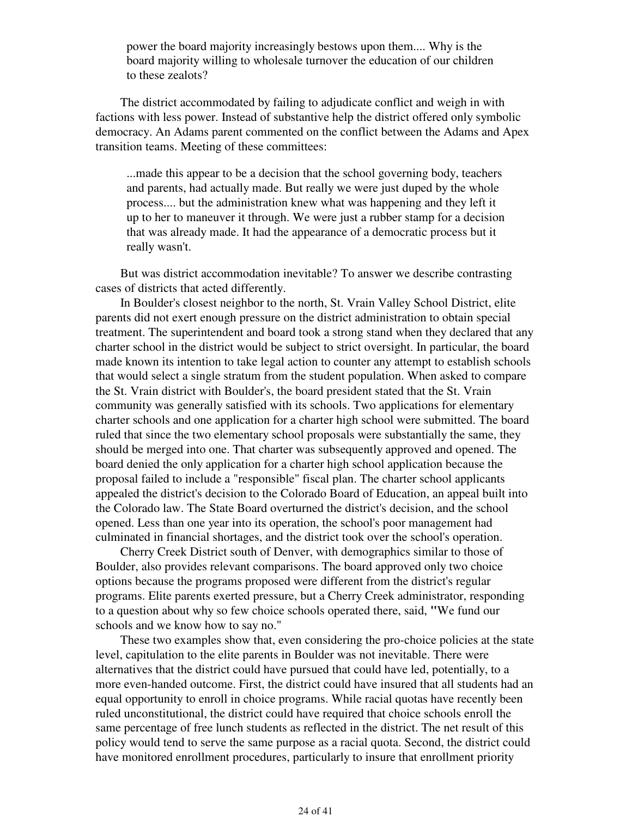power the board majority increasingly bestows upon them.... Why is the board majority willing to wholesale turnover the education of our children to these zealots?

 The district accommodated by failing to adjudicate conflict and weigh in with factions with less power. Instead of substantive help the district offered only symbolic democracy. An Adams parent commented on the conflict between the Adams and Apex transition teams. Meeting of these committees:

...made this appear to be a decision that the school governing body, teachers and parents, had actually made. But really we were just duped by the whole process.... but the administration knew what was happening and they left it up to her to maneuver it through. We were just a rubber stamp for a decision that was already made. It had the appearance of a democratic process but it really wasn't.

 But was district accommodation inevitable? To answer we describe contrasting cases of districts that acted differently.

 In Boulder's closest neighbor to the north, St. Vrain Valley School District, elite parents did not exert enough pressure on the district administration to obtain special treatment. The superintendent and board took a strong stand when they declared that any charter school in the district would be subject to strict oversight. In particular, the board made known its intention to take legal action to counter any attempt to establish schools that would select a single stratum from the student population. When asked to compare the St. Vrain district with Boulder's, the board president stated that the St. Vrain community was generally satisfied with its schools. Two applications for elementary charter schools and one application for a charter high school were submitted. The board ruled that since the two elementary school proposals were substantially the same, they should be merged into one. That charter was subsequently approved and opened. The board denied the only application for a charter high school application because the proposal failed to include a "responsible" fiscal plan. The charter school applicants appealed the district's decision to the Colorado Board of Education, an appeal built into the Colorado law. The State Board overturned the district's decision, and the school opened. Less than one year into its operation, the school's poor management had culminated in financial shortages, and the district took over the school's operation.

 Cherry Creek District south of Denver, with demographics similar to those of Boulder, also provides relevant comparisons. The board approved only two choice options because the programs proposed were different from the district's regular programs. Elite parents exerted pressure, but a Cherry Creek administrator, responding to a question about why so few choice schools operated there, said, **"**We fund our schools and we know how to say no."

 These two examples show that, even considering the pro-choice policies at the state level, capitulation to the elite parents in Boulder was not inevitable. There were alternatives that the district could have pursued that could have led, potentially, to a more even-handed outcome. First, the district could have insured that all students had an equal opportunity to enroll in choice programs. While racial quotas have recently been ruled unconstitutional, the district could have required that choice schools enroll the same percentage of free lunch students as reflected in the district. The net result of this policy would tend to serve the same purpose as a racial quota. Second, the district could have monitored enrollment procedures, particularly to insure that enrollment priority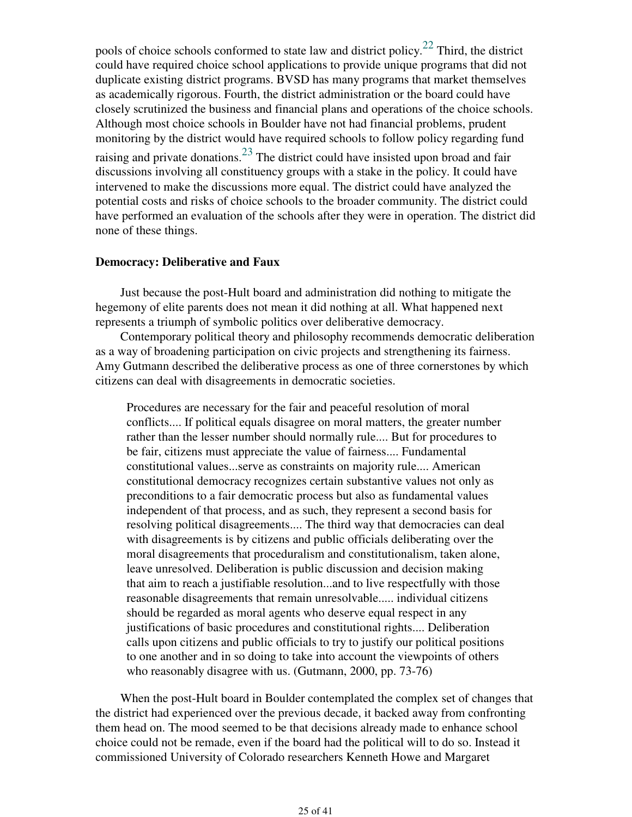pools of choice schools conformed to state law and district policy.<sup>22</sup> Third, the district could have required choice school applications to provide unique programs that did not duplicate existing district programs. BVSD has many programs that market themselves as academically rigorous. Fourth, the district administration or the board could have closely scrutinized the business and financial plans and operations of the choice schools. Although most choice schools in Boulder have not had financial problems, prudent monitoring by the district would have required schools to follow policy regarding fund raising and private donations.<sup>23</sup> The district could have insisted upon broad and fair discussions involving all constituency groups with a stake in the policy. It could have intervened to make the discussions more equal. The district could have analyzed the potential costs and risks of choice schools to the broader community. The district could have performed an evaluation of the schools after they were in operation. The district did none of these things.

#### **Democracy: Deliberative and Faux**

 Just because the post-Hult board and administration did nothing to mitigate the hegemony of elite parents does not mean it did nothing at all. What happened next represents a triumph of symbolic politics over deliberative democracy.

 Contemporary political theory and philosophy recommends democratic deliberation as a way of broadening participation on civic projects and strengthening its fairness. Amy Gutmann described the deliberative process as one of three cornerstones by which citizens can deal with disagreements in democratic societies.

Procedures are necessary for the fair and peaceful resolution of moral conflicts.... If political equals disagree on moral matters, the greater number rather than the lesser number should normally rule.... But for procedures to be fair, citizens must appreciate the value of fairness.... Fundamental constitutional values...serve as constraints on majority rule.... American constitutional democracy recognizes certain substantive values not only as preconditions to a fair democratic process but also as fundamental values independent of that process, and as such, they represent a second basis for resolving political disagreements.... The third way that democracies can deal with disagreements is by citizens and public officials deliberating over the moral disagreements that proceduralism and constitutionalism, taken alone, leave unresolved. Deliberation is public discussion and decision making that aim to reach a justifiable resolution...and to live respectfully with those reasonable disagreements that remain unresolvable..... individual citizens should be regarded as moral agents who deserve equal respect in any justifications of basic procedures and constitutional rights.... Deliberation calls upon citizens and public officials to try to justify our political positions to one another and in so doing to take into account the viewpoints of others who reasonably disagree with us. (Gutmann, 2000, pp. 73-76)

 When the post-Hult board in Boulder contemplated the complex set of changes that the district had experienced over the previous decade, it backed away from confronting them head on. The mood seemed to be that decisions already made to enhance school choice could not be remade, even if the board had the political will to do so. Instead it commissioned University of Colorado researchers Kenneth Howe and Margaret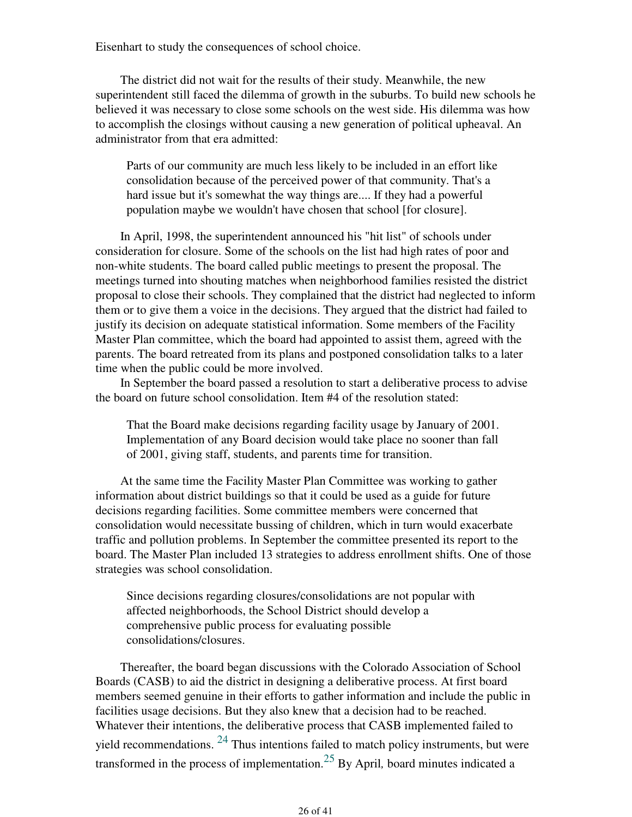Eisenhart to study the consequences of school choice.

 The district did not wait for the results of their study. Meanwhile, the new superintendent still faced the dilemma of growth in the suburbs. To build new schools he believed it was necessary to close some schools on the west side. His dilemma was how to accomplish the closings without causing a new generation of political upheaval. An administrator from that era admitted:

Parts of our community are much less likely to be included in an effort like consolidation because of the perceived power of that community. That's a hard issue but it's somewhat the way things are.... If they had a powerful population maybe we wouldn't have chosen that school [for closure].

 In April, 1998, the superintendent announced his "hit list" of schools under consideration for closure. Some of the schools on the list had high rates of poor and non-white students. The board called public meetings to present the proposal. The meetings turned into shouting matches when neighborhood families resisted the district proposal to close their schools. They complained that the district had neglected to inform them or to give them a voice in the decisions. They argued that the district had failed to justify its decision on adequate statistical information. Some members of the Facility Master Plan committee, which the board had appointed to assist them, agreed with the parents. The board retreated from its plans and postponed consolidation talks to a later time when the public could be more involved.

 In September the board passed a resolution to start a deliberative process to advise the board on future school consolidation. Item #4 of the resolution stated:

That the Board make decisions regarding facility usage by January of 2001. Implementation of any Board decision would take place no sooner than fall of 2001, giving staff, students, and parents time for transition.

 At the same time the Facility Master Plan Committee was working to gather information about district buildings so that it could be used as a guide for future decisions regarding facilities. Some committee members were concerned that consolidation would necessitate bussing of children, which in turn would exacerbate traffic and pollution problems. In September the committee presented its report to the board. The Master Plan included 13 strategies to address enrollment shifts. One of those strategies was school consolidation.

Since decisions regarding closures/consolidations are not popular with affected neighborhoods, the School District should develop a comprehensive public process for evaluating possible consolidations/closures.

 Thereafter, the board began discussions with the Colorado Association of School Boards (CASB) to aid the district in designing a deliberative process. At first board members seemed genuine in their efforts to gather information and include the public in facilities usage decisions. But they also knew that a decision had to be reached. Whatever their intentions, the deliberative process that CASB implemented failed to yield recommendations.  $24$  Thus intentions failed to match policy instruments, but were transformed in the process of implementation.25 By April*,* board minutes indicated a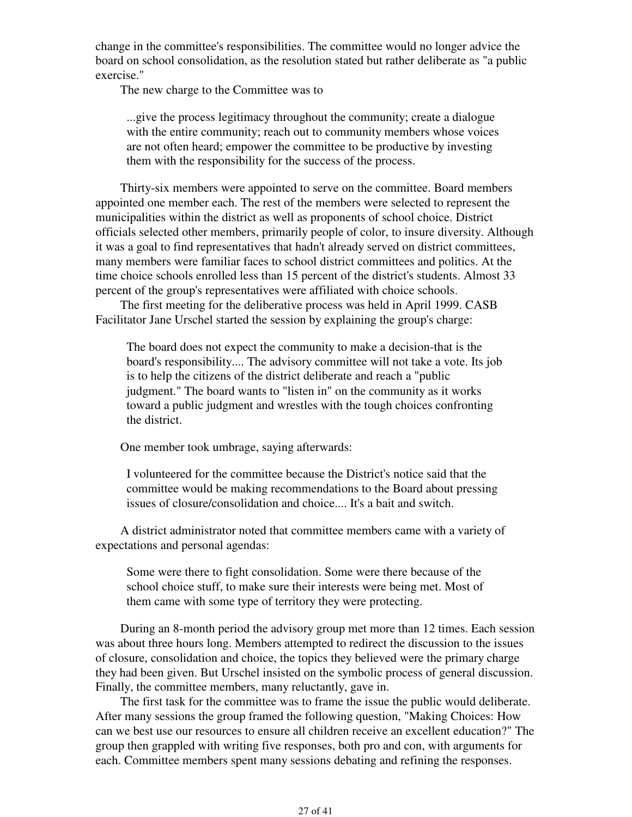change in the committee's responsibilities. The committee would no longer advice the board on school consolidation, as the resolution stated but rather deliberate as "a public exercise."

The new charge to the Committee was to

...give the process legitimacy throughout the community; create a dialogue with the entire community; reach out to community members whose voices are not often heard; empower the committee to be productive by investing them with the responsibility for the success of the process.

 Thirty-six members were appointed to serve on the committee. Board members appointed one member each. The rest of the members were selected to represent the municipalities within the district as well as proponents of school choice. District officials selected other members, primarily people of color, to insure diversity. Although it was a goal to find representatives that hadn't already served on district committees, many members were familiar faces to school district committees and politics. At the time choice schools enrolled less than 15 percent of the district's students. Almost 33 percent of the group's representatives were affiliated with choice schools.

 The first meeting for the deliberative process was held in April 1999. CASB Facilitator Jane Urschel started the session by explaining the group's charge:

The board does not expect the community to make a decision-that is the board's responsibility.... The advisory committee will not take a vote. Its job is to help the citizens of the district deliberate and reach a "public judgment." The board wants to "listen in" on the community as it works toward a public judgment and wrestles with the tough choices confronting the district.

One member took umbrage, saying afterwards:

I volunteered for the committee because the District's notice said that the committee would be making recommendations to the Board about pressing issues of closure/consolidation and choice.... It's a bait and switch.

 A district administrator noted that committee members came with a variety of expectations and personal agendas:

Some were there to fight consolidation. Some were there because of the school choice stuff, to make sure their interests were being met. Most of them came with some type of territory they were protecting.

 During an 8-month period the advisory group met more than 12 times. Each session was about three hours long. Members attempted to redirect the discussion to the issues of closure, consolidation and choice, the topics they believed were the primary charge they had been given. But Urschel insisted on the symbolic process of general discussion. Finally, the committee members, many reluctantly, gave in.

 The first task for the committee was to frame the issue the public would deliberate. After many sessions the group framed the following question, "Making Choices: How can we best use our resources to ensure all children receive an excellent education?" The group then grappled with writing five responses, both pro and con, with arguments for each. Committee members spent many sessions debating and refining the responses.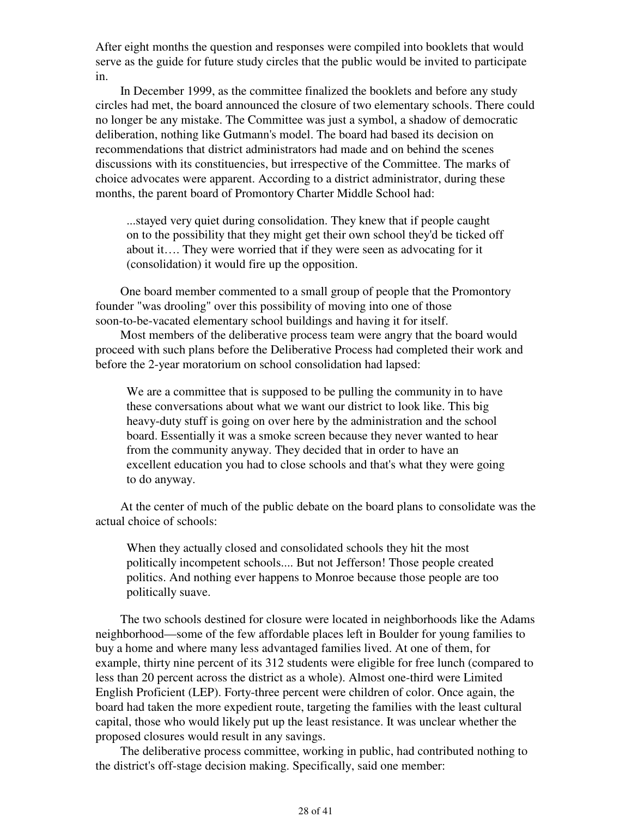After eight months the question and responses were compiled into booklets that would serve as the guide for future study circles that the public would be invited to participate in.

 In December 1999, as the committee finalized the booklets and before any study circles had met, the board announced the closure of two elementary schools. There could no longer be any mistake. The Committee was just a symbol, a shadow of democratic deliberation, nothing like Gutmann's model. The board had based its decision on recommendations that district administrators had made and on behind the scenes discussions with its constituencies, but irrespective of the Committee. The marks of choice advocates were apparent. According to a district administrator, during these months, the parent board of Promontory Charter Middle School had:

...stayed very quiet during consolidation. They knew that if people caught on to the possibility that they might get their own school they'd be ticked off about it…. They were worried that if they were seen as advocating for it (consolidation) it would fire up the opposition.

 One board member commented to a small group of people that the Promontory founder "was drooling" over this possibility of moving into one of those soon-to-be-vacated elementary school buildings and having it for itself.

 Most members of the deliberative process team were angry that the board would proceed with such plans before the Deliberative Process had completed their work and before the 2-year moratorium on school consolidation had lapsed:

We are a committee that is supposed to be pulling the community in to have these conversations about what we want our district to look like. This big heavy-duty stuff is going on over here by the administration and the school board. Essentially it was a smoke screen because they never wanted to hear from the community anyway. They decided that in order to have an excellent education you had to close schools and that's what they were going to do anyway.

 At the center of much of the public debate on the board plans to consolidate was the actual choice of schools:

When they actually closed and consolidated schools they hit the most politically incompetent schools.... But not Jefferson! Those people created politics. And nothing ever happens to Monroe because those people are too politically suave.

 The two schools destined for closure were located in neighborhoods like the Adams neighborhood—some of the few affordable places left in Boulder for young families to buy a home and where many less advantaged families lived. At one of them, for example, thirty nine percent of its 312 students were eligible for free lunch (compared to less than 20 percent across the district as a whole). Almost one-third were Limited English Proficient (LEP). Forty-three percent were children of color. Once again, the board had taken the more expedient route, targeting the families with the least cultural capital, those who would likely put up the least resistance. It was unclear whether the proposed closures would result in any savings.

 The deliberative process committee, working in public, had contributed nothing to the district's off-stage decision making. Specifically, said one member: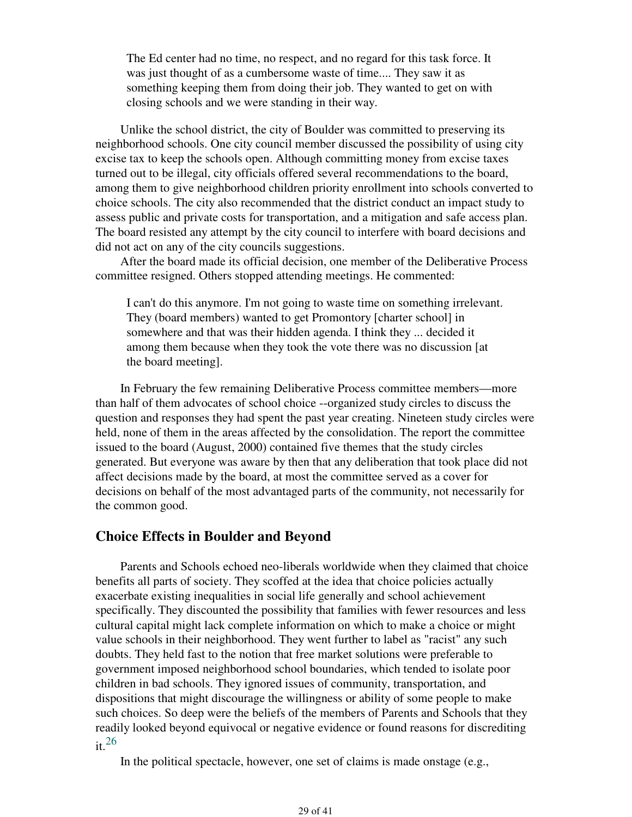The Ed center had no time, no respect, and no regard for this task force. It was just thought of as a cumbersome waste of time.... They saw it as something keeping them from doing their job. They wanted to get on with closing schools and we were standing in their way.

 Unlike the school district, the city of Boulder was committed to preserving its neighborhood schools. One city council member discussed the possibility of using city excise tax to keep the schools open. Although committing money from excise taxes turned out to be illegal, city officials offered several recommendations to the board, among them to give neighborhood children priority enrollment into schools converted to choice schools. The city also recommended that the district conduct an impact study to assess public and private costs for transportation, and a mitigation and safe access plan. The board resisted any attempt by the city council to interfere with board decisions and did not act on any of the city councils suggestions.

 After the board made its official decision, one member of the Deliberative Process committee resigned. Others stopped attending meetings. He commented:

I can't do this anymore. I'm not going to waste time on something irrelevant. They (board members) wanted to get Promontory [charter school] in somewhere and that was their hidden agenda. I think they ... decided it among them because when they took the vote there was no discussion [at the board meeting].

 In February the few remaining Deliberative Process committee members—more than half of them advocates of school choice --organized study circles to discuss the question and responses they had spent the past year creating. Nineteen study circles were held, none of them in the areas affected by the consolidation. The report the committee issued to the board (August, 2000) contained five themes that the study circles generated. But everyone was aware by then that any deliberation that took place did not affect decisions made by the board, at most the committee served as a cover for decisions on behalf of the most advantaged parts of the community, not necessarily for the common good.

## **Choice Effects in Boulder and Beyond**

 Parents and Schools echoed neo-liberals worldwide when they claimed that choice benefits all parts of society. They scoffed at the idea that choice policies actually exacerbate existing inequalities in social life generally and school achievement specifically. They discounted the possibility that families with fewer resources and less cultural capital might lack complete information on which to make a choice or might value schools in their neighborhood. They went further to label as "racist" any such doubts. They held fast to the notion that free market solutions were preferable to government imposed neighborhood school boundaries, which tended to isolate poor children in bad schools. They ignored issues of community, transportation, and dispositions that might discourage the willingness or ability of some people to make such choices. So deep were the beliefs of the members of Parents and Schools that they readily looked beyond equivocal or negative evidence or found reasons for discrediting it. $^{26}$ 

In the political spectacle, however, one set of claims is made onstage (e.g.,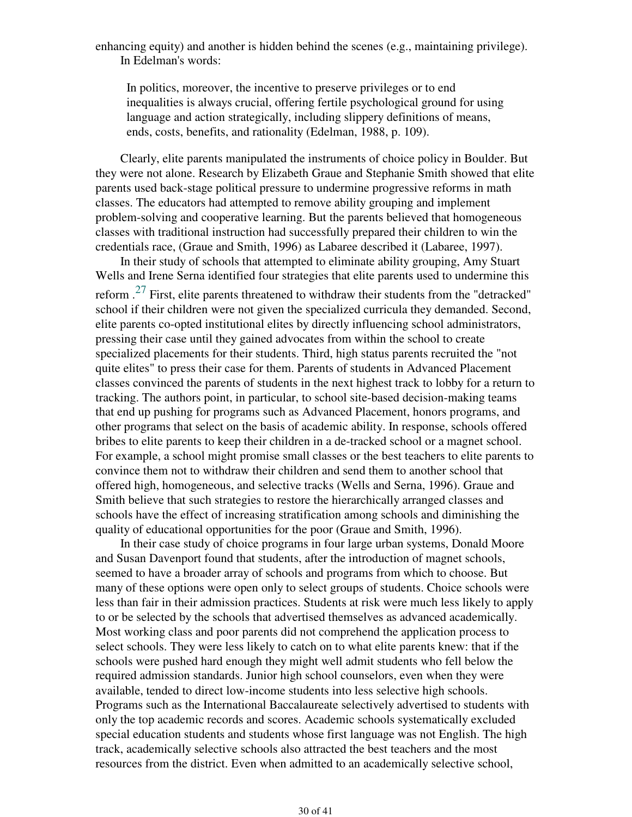enhancing equity) and another is hidden behind the scenes (e.g., maintaining privilege). In Edelman's words:

In politics, moreover, the incentive to preserve privileges or to end inequalities is always crucial, offering fertile psychological ground for using language and action strategically, including slippery definitions of means, ends, costs, benefits, and rationality (Edelman, 1988, p. 109).

 Clearly, elite parents manipulated the instruments of choice policy in Boulder. But they were not alone. Research by Elizabeth Graue and Stephanie Smith showed that elite parents used back-stage political pressure to undermine progressive reforms in math classes. The educators had attempted to remove ability grouping and implement problem-solving and cooperative learning. But the parents believed that homogeneous classes with traditional instruction had successfully prepared their children to win the credentials race, (Graue and Smith, 1996) as Labaree described it (Labaree, 1997).

 In their study of schools that attempted to eliminate ability grouping, Amy Stuart Wells and Irene Serna identified four strategies that elite parents used to undermine this reform  $\cdot^{27}$  First, elite parents threatened to withdraw their students from the "detracked" school if their children were not given the specialized curricula they demanded. Second, elite parents co-opted institutional elites by directly influencing school administrators, pressing their case until they gained advocates from within the school to create specialized placements for their students. Third, high status parents recruited the "not quite elites" to press their case for them. Parents of students in Advanced Placement classes convinced the parents of students in the next highest track to lobby for a return to tracking. The authors point, in particular, to school site-based decision-making teams that end up pushing for programs such as Advanced Placement, honors programs, and other programs that select on the basis of academic ability. In response, schools offered bribes to elite parents to keep their children in a de-tracked school or a magnet school. For example, a school might promise small classes or the best teachers to elite parents to convince them not to withdraw their children and send them to another school that offered high, homogeneous, and selective tracks (Wells and Serna, 1996). Graue and Smith believe that such strategies to restore the hierarchically arranged classes and schools have the effect of increasing stratification among schools and diminishing the quality of educational opportunities for the poor (Graue and Smith, 1996).

 In their case study of choice programs in four large urban systems, Donald Moore and Susan Davenport found that students, after the introduction of magnet schools, seemed to have a broader array of schools and programs from which to choose. But many of these options were open only to select groups of students. Choice schools were less than fair in their admission practices. Students at risk were much less likely to apply to or be selected by the schools that advertised themselves as advanced academically. Most working class and poor parents did not comprehend the application process to select schools. They were less likely to catch on to what elite parents knew: that if the schools were pushed hard enough they might well admit students who fell below the required admission standards. Junior high school counselors, even when they were available, tended to direct low-income students into less selective high schools. Programs such as the International Baccalaureate selectively advertised to students with only the top academic records and scores. Academic schools systematically excluded special education students and students whose first language was not English. The high track, academically selective schools also attracted the best teachers and the most resources from the district. Even when admitted to an academically selective school,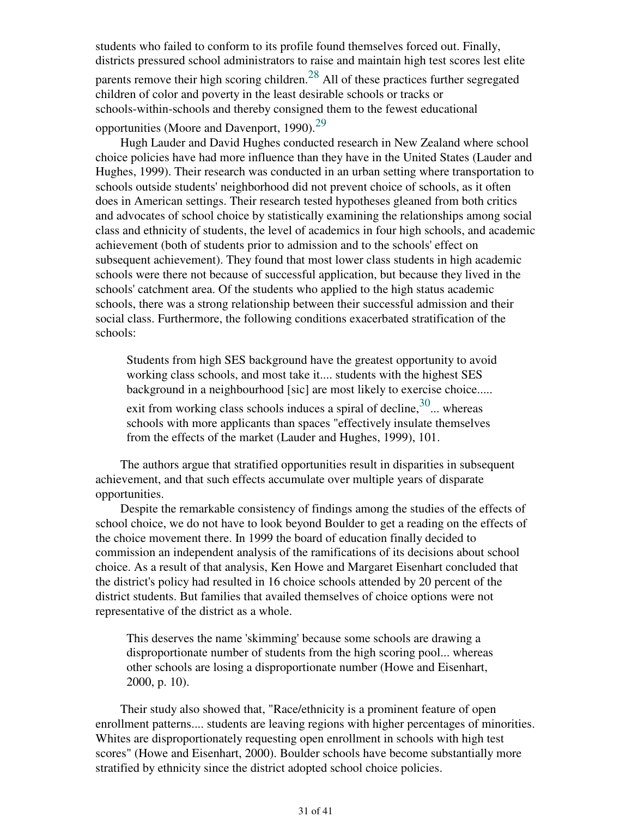students who failed to conform to its profile found themselves forced out. Finally, districts pressured school administrators to raise and maintain high test scores lest elite parents remove their high scoring children.<sup>28</sup> All of these practices further segregated children of color and poverty in the least desirable schools or tracks or schools-within-schools and thereby consigned them to the fewest educational opportunities (Moore and Davenport, 1990).<sup>29</sup>

 Hugh Lauder and David Hughes conducted research in New Zealand where school choice policies have had more influence than they have in the United States (Lauder and Hughes, 1999). Their research was conducted in an urban setting where transportation to schools outside students' neighborhood did not prevent choice of schools, as it often does in American settings. Their research tested hypotheses gleaned from both critics and advocates of school choice by statistically examining the relationships among social class and ethnicity of students, the level of academics in four high schools, and academic achievement (both of students prior to admission and to the schools' effect on subsequent achievement). They found that most lower class students in high academic schools were there not because of successful application, but because they lived in the schools' catchment area. Of the students who applied to the high status academic schools, there was a strong relationship between their successful admission and their social class. Furthermore, the following conditions exacerbated stratification of the schools:

Students from high SES background have the greatest opportunity to avoid working class schools, and most take it.... students with the highest SES background in a neighbourhood [sic] are most likely to exercise choice.....

exit from working class schools induces a spiral of decline,  $30...$  whereas schools with more applicants than spaces "effectively insulate themselves from the effects of the market (Lauder and Hughes, 1999), 101.

 The authors argue that stratified opportunities result in disparities in subsequent achievement, and that such effects accumulate over multiple years of disparate opportunities.

 Despite the remarkable consistency of findings among the studies of the effects of school choice, we do not have to look beyond Boulder to get a reading on the effects of the choice movement there. In 1999 the board of education finally decided to commission an independent analysis of the ramifications of its decisions about school choice. As a result of that analysis, Ken Howe and Margaret Eisenhart concluded that the district's policy had resulted in 16 choice schools attended by 20 percent of the district students. But families that availed themselves of choice options were not representative of the district as a whole.

This deserves the name 'skimming' because some schools are drawing a disproportionate number of students from the high scoring pool... whereas other schools are losing a disproportionate number (Howe and Eisenhart, 2000, p. 10).

 Their study also showed that, "Race/ethnicity is a prominent feature of open enrollment patterns.... students are leaving regions with higher percentages of minorities. Whites are disproportionately requesting open enrollment in schools with high test scores" (Howe and Eisenhart, 2000). Boulder schools have become substantially more stratified by ethnicity since the district adopted school choice policies.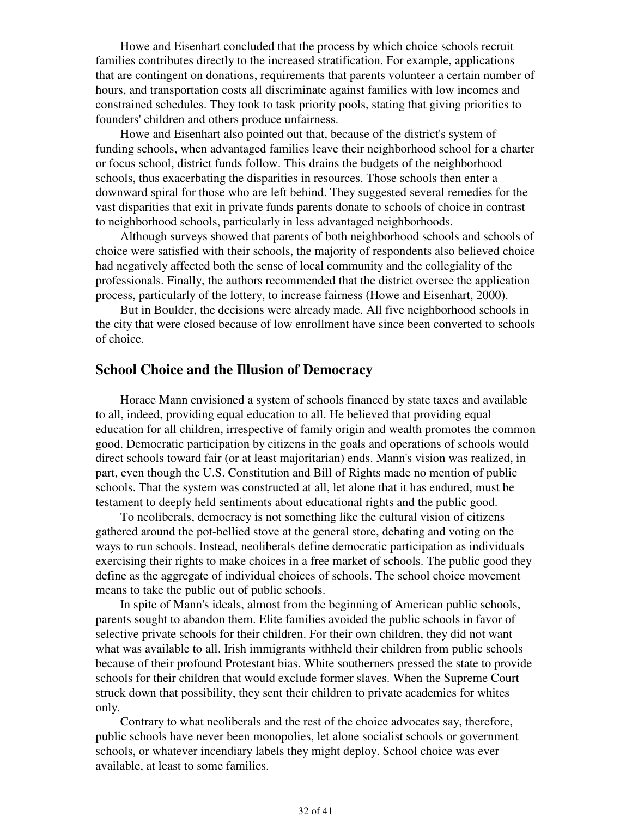Howe and Eisenhart concluded that the process by which choice schools recruit families contributes directly to the increased stratification. For example, applications that are contingent on donations, requirements that parents volunteer a certain number of hours, and transportation costs all discriminate against families with low incomes and constrained schedules. They took to task priority pools, stating that giving priorities to founders' children and others produce unfairness.

 Howe and Eisenhart also pointed out that, because of the district's system of funding schools, when advantaged families leave their neighborhood school for a charter or focus school, district funds follow. This drains the budgets of the neighborhood schools, thus exacerbating the disparities in resources. Those schools then enter a downward spiral for those who are left behind. They suggested several remedies for the vast disparities that exit in private funds parents donate to schools of choice in contrast to neighborhood schools, particularly in less advantaged neighborhoods.

 Although surveys showed that parents of both neighborhood schools and schools of choice were satisfied with their schools, the majority of respondents also believed choice had negatively affected both the sense of local community and the collegiality of the professionals. Finally, the authors recommended that the district oversee the application process, particularly of the lottery, to increase fairness (Howe and Eisenhart, 2000).

 But in Boulder, the decisions were already made. All five neighborhood schools in the city that were closed because of low enrollment have since been converted to schools of choice.

## **School Choice and the Illusion of Democracy**

 Horace Mann envisioned a system of schools financed by state taxes and available to all, indeed, providing equal education to all. He believed that providing equal education for all children, irrespective of family origin and wealth promotes the common good. Democratic participation by citizens in the goals and operations of schools would direct schools toward fair (or at least majoritarian) ends. Mann's vision was realized, in part, even though the U.S. Constitution and Bill of Rights made no mention of public schools. That the system was constructed at all, let alone that it has endured, must be testament to deeply held sentiments about educational rights and the public good.

 To neoliberals, democracy is not something like the cultural vision of citizens gathered around the pot-bellied stove at the general store, debating and voting on the ways to run schools. Instead, neoliberals define democratic participation as individuals exercising their rights to make choices in a free market of schools. The public good they define as the aggregate of individual choices of schools. The school choice movement means to take the public out of public schools.

 In spite of Mann's ideals, almost from the beginning of American public schools, parents sought to abandon them. Elite families avoided the public schools in favor of selective private schools for their children. For their own children, they did not want what was available to all. Irish immigrants withheld their children from public schools because of their profound Protestant bias. White southerners pressed the state to provide schools for their children that would exclude former slaves. When the Supreme Court struck down that possibility, they sent their children to private academies for whites only.

 Contrary to what neoliberals and the rest of the choice advocates say, therefore, public schools have never been monopolies, let alone socialist schools or government schools, or whatever incendiary labels they might deploy. School choice was ever available, at least to some families.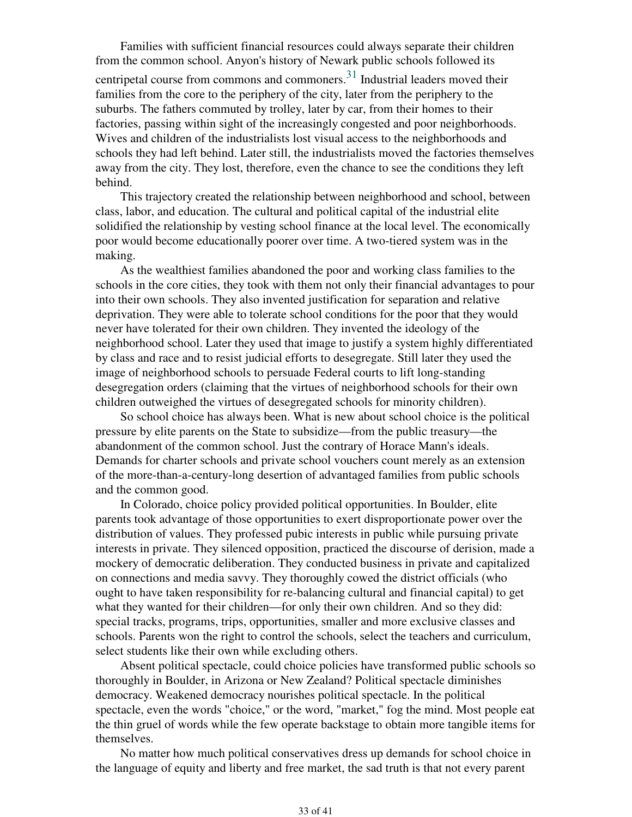Families with sufficient financial resources could always separate their children from the common school. Anyon's history of Newark public schools followed its centripetal course from commons and commoners.31 Industrial leaders moved their families from the core to the periphery of the city, later from the periphery to the suburbs. The fathers commuted by trolley, later by car, from their homes to their factories, passing within sight of the increasingly congested and poor neighborhoods. Wives and children of the industrialists lost visual access to the neighborhoods and schools they had left behind. Later still, the industrialists moved the factories themselves away from the city. They lost, therefore, even the chance to see the conditions they left behind.

 This trajectory created the relationship between neighborhood and school, between class, labor, and education. The cultural and political capital of the industrial elite solidified the relationship by vesting school finance at the local level. The economically poor would become educationally poorer over time. A two-tiered system was in the making.

 As the wealthiest families abandoned the poor and working class families to the schools in the core cities, they took with them not only their financial advantages to pour into their own schools. They also invented justification for separation and relative deprivation. They were able to tolerate school conditions for the poor that they would never have tolerated for their own children. They invented the ideology of the neighborhood school. Later they used that image to justify a system highly differentiated by class and race and to resist judicial efforts to desegregate. Still later they used the image of neighborhood schools to persuade Federal courts to lift long-standing desegregation orders (claiming that the virtues of neighborhood schools for their own children outweighed the virtues of desegregated schools for minority children).

 So school choice has always been. What is new about school choice is the political pressure by elite parents on the State to subsidize—from the public treasury—the abandonment of the common school. Just the contrary of Horace Mann's ideals. Demands for charter schools and private school vouchers count merely as an extension of the more-than-a-century-long desertion of advantaged families from public schools and the common good.

 In Colorado, choice policy provided political opportunities. In Boulder, elite parents took advantage of those opportunities to exert disproportionate power over the distribution of values. They professed pubic interests in public while pursuing private interests in private. They silenced opposition, practiced the discourse of derision, made a mockery of democratic deliberation. They conducted business in private and capitalized on connections and media savvy. They thoroughly cowed the district officials (who ought to have taken responsibility for re-balancing cultural and financial capital) to get what they wanted for their children—for only their own children. And so they did: special tracks, programs, trips, opportunities, smaller and more exclusive classes and schools. Parents won the right to control the schools, select the teachers and curriculum, select students like their own while excluding others.

 Absent political spectacle, could choice policies have transformed public schools so thoroughly in Boulder, in Arizona or New Zealand? Political spectacle diminishes democracy. Weakened democracy nourishes political spectacle. In the political spectacle, even the words "choice," or the word, "market," fog the mind. Most people eat the thin gruel of words while the few operate backstage to obtain more tangible items for themselves.

 No matter how much political conservatives dress up demands for school choice in the language of equity and liberty and free market, the sad truth is that not every parent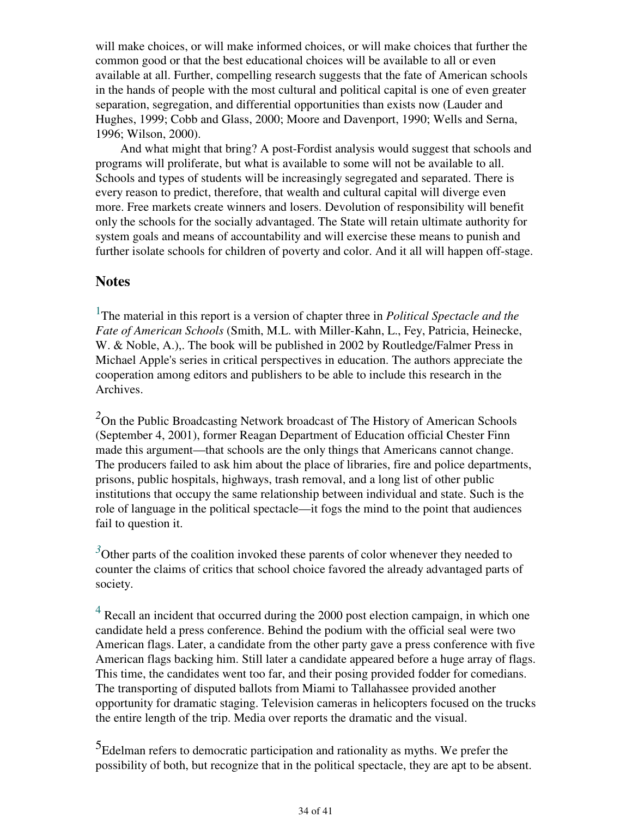will make choices, or will make informed choices, or will make choices that further the common good or that the best educational choices will be available to all or even available at all. Further, compelling research suggests that the fate of American schools in the hands of people with the most cultural and political capital is one of even greater separation, segregation, and differential opportunities than exists now (Lauder and Hughes, 1999; Cobb and Glass, 2000; Moore and Davenport, 1990; Wells and Serna, 1996; Wilson, 2000).

 And what might that bring? A post-Fordist analysis would suggest that schools and programs will proliferate, but what is available to some will not be available to all. Schools and types of students will be increasingly segregated and separated. There is every reason to predict, therefore, that wealth and cultural capital will diverge even more. Free markets create winners and losers. Devolution of responsibility will benefit only the schools for the socially advantaged. The State will retain ultimate authority for system goals and means of accountability and will exercise these means to punish and further isolate schools for children of poverty and color. And it all will happen off-stage.

## **Notes**

<sup>1</sup>The material in this report is a version of chapter three in *Political Spectacle and the Fate of American Schools* (Smith, M.L. with Miller-Kahn, L., Fey, Patricia, Heinecke, W. & Noble, A.),. The book will be published in 2002 by Routledge/Falmer Press in Michael Apple's series in critical perspectives in education. The authors appreciate the cooperation among editors and publishers to be able to include this research in the Archives.

*<sup>2</sup>*On the Public Broadcasting Network broadcast of The History of American Schools (September 4, 2001), former Reagan Department of Education official Chester Finn made this argument—that schools are the only things that Americans cannot change. The producers failed to ask him about the place of libraries, fire and police departments, prisons, public hospitals, highways, trash removal, and a long list of other public institutions that occupy the same relationship between individual and state. Such is the role of language in the political spectacle—it fogs the mind to the point that audiences fail to question it.

<sup>3</sup>Other parts of the coalition invoked these parents of color whenever they needed to counter the claims of critics that school choice favored the already advantaged parts of society.

 $4$  Recall an incident that occurred during the 2000 post election campaign, in which one candidate held a press conference. Behind the podium with the official seal were two American flags. Later, a candidate from the other party gave a press conference with five American flags backing him. Still later a candidate appeared before a huge array of flags. This time, the candidates went too far, and their posing provided fodder for comedians. The transporting of disputed ballots from Miami to Tallahassee provided another opportunity for dramatic staging. Television cameras in helicopters focused on the trucks the entire length of the trip. Media over reports the dramatic and the visual.

5Edelman refers to democratic participation and rationality as myths. We prefer the possibility of both, but recognize that in the political spectacle, they are apt to be absent.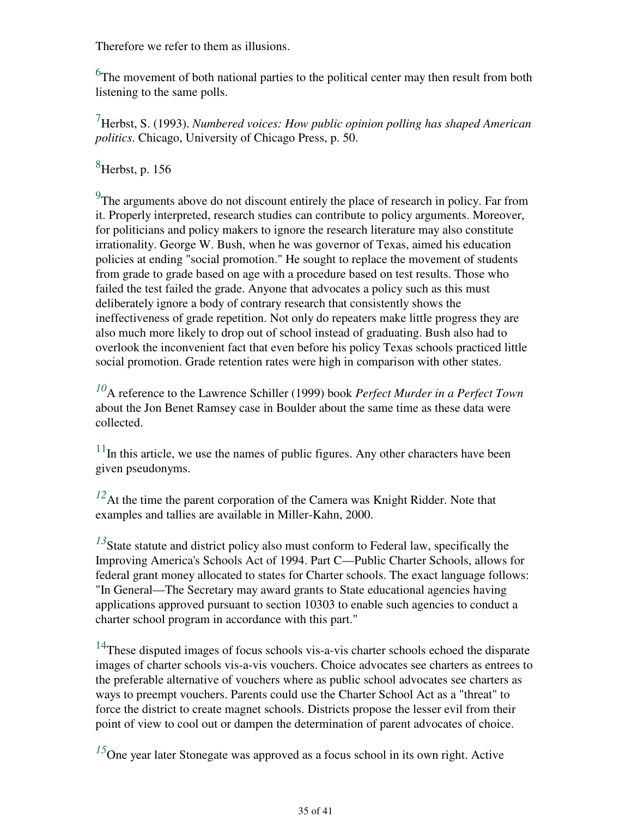Therefore we refer to them as illusions.

 $6$ The movement of both national parties to the political center may then result from both listening to the same polls.

<sup>7</sup>Herbst, S. (1993). *Numbered voices: How public opinion polling has shaped American politics*. Chicago, University of Chicago Press, p. 50.

 ${}^{8}$ Herbst, p. 156

 $9<sup>9</sup>$ The arguments above do not discount entirely the place of research in policy. Far from it. Properly interpreted, research studies can contribute to policy arguments. Moreover, for politicians and policy makers to ignore the research literature may also constitute irrationality. George W. Bush, when he was governor of Texas, aimed his education policies at ending "social promotion." He sought to replace the movement of students from grade to grade based on age with a procedure based on test results. Those who failed the test failed the grade. Anyone that advocates a policy such as this must deliberately ignore a body of contrary research that consistently shows the ineffectiveness of grade repetition. Not only do repeaters make little progress they are also much more likely to drop out of school instead of graduating. Bush also had to overlook the inconvenient fact that even before his policy Texas schools practiced little social promotion. Grade retention rates were high in comparison with other states.

*<sup>10</sup>*A reference to the Lawrence Schiller (1999) book *Perfect Murder in a Perfect Town* about the Jon Benet Ramsey case in Boulder about the same time as these data were collected.

 $11$ In this article, we use the names of public figures. Any other characters have been given pseudonyms.

<sup>12</sup>At the time the parent corporation of the Camera was Knight Ridder. Note that examples and tallies are available in Miller-Kahn, 2000.

<sup>13</sup>State statute and district policy also must conform to Federal law, specifically the Improving America's Schools Act of 1994. Part C—Public Charter Schools, allows for federal grant money allocated to states for Charter schools. The exact language follows: "In General—The Secretary may award grants to State educational agencies having applications approved pursuant to section 10303 to enable such agencies to conduct a charter school program in accordance with this part."

<sup>14</sup>These disputed images of focus schools vis-a-vis charter schools echoed the disparate images of charter schools vis-a-vis vouchers. Choice advocates see charters as entrees to the preferable alternative of vouchers where as public school advocates see charters as ways to preempt vouchers. Parents could use the Charter School Act as a "threat" to force the district to create magnet schools. Districts propose the lesser evil from their point of view to cool out or dampen the determination of parent advocates of choice.

*<sup>15</sup>*One year later Stonegate was approved as a focus school in its own right. Active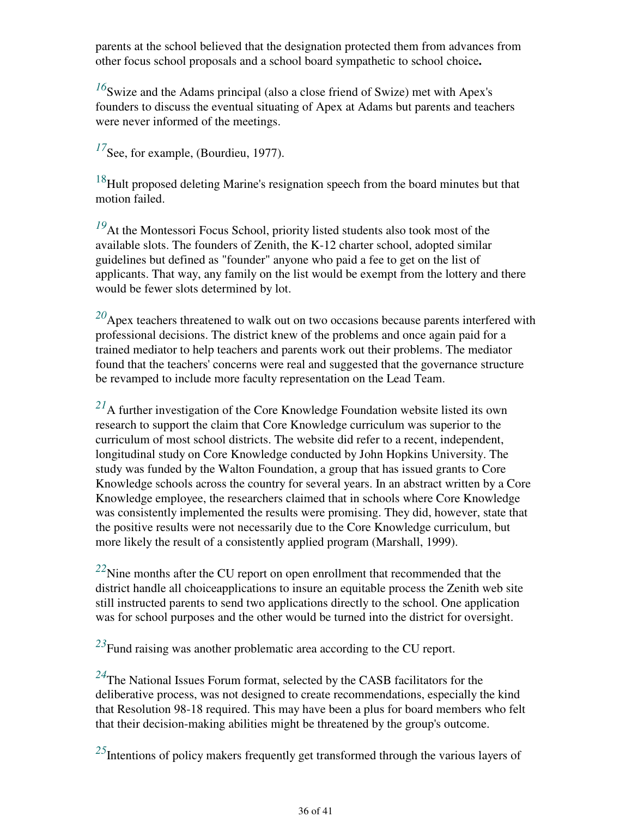parents at the school believed that the designation protected them from advances from other focus school proposals and a school board sympathetic to school choice**.**

*<sup>16</sup>*Swize and the Adams principal (also a close friend of Swize) met with Apex's founders to discuss the eventual situating of Apex at Adams but parents and teachers were never informed of the meetings.

*<sup>17</sup>*See, for example, (Bourdieu, 1977).

<sup>18</sup>Hult proposed deleting Marine's resignation speech from the board minutes but that motion failed.

*<sup>19</sup>*At the Montessori Focus School, priority listed students also took most of the available slots. The founders of Zenith, the K-12 charter school, adopted similar guidelines but defined as "founder" anyone who paid a fee to get on the list of applicants. That way, any family on the list would be exempt from the lottery and there would be fewer slots determined by lot.

*<sup>20</sup>*Apex teachers threatened to walk out on two occasions because parents interfered with professional decisions. The district knew of the problems and once again paid for a trained mediator to help teachers and parents work out their problems. The mediator found that the teachers' concerns were real and suggested that the governance structure be revamped to include more faculty representation on the Lead Team.

*<sup>21</sup>*A further investigation of the Core Knowledge Foundation website listed its own research to support the claim that Core Knowledge curriculum was superior to the curriculum of most school districts. The website did refer to a recent, independent, longitudinal study on Core Knowledge conducted by John Hopkins University. The study was funded by the Walton Foundation, a group that has issued grants to Core Knowledge schools across the country for several years. In an abstract written by a Core Knowledge employee, the researchers claimed that in schools where Core Knowledge was consistently implemented the results were promising. They did, however, state that the positive results were not necessarily due to the Core Knowledge curriculum, but more likely the result of a consistently applied program (Marshall, 1999).

*<sup>22</sup>*Nine months after the CU report on open enrollment that recommended that the district handle all choiceapplications to insure an equitable process the Zenith web site still instructed parents to send two applications directly to the school. One application was for school purposes and the other would be turned into the district for oversight.

*<sup>23</sup>*Fund raising was another problematic area according to the CU report.

*<sup>24</sup>*The National Issues Forum format, selected by the CASB facilitators for the deliberative process, was not designed to create recommendations, especially the kind that Resolution 98-18 required. This may have been a plus for board members who felt that their decision-making abilities might be threatened by the group's outcome.

<sup>25</sup>Intentions of policy makers frequently get transformed through the various layers of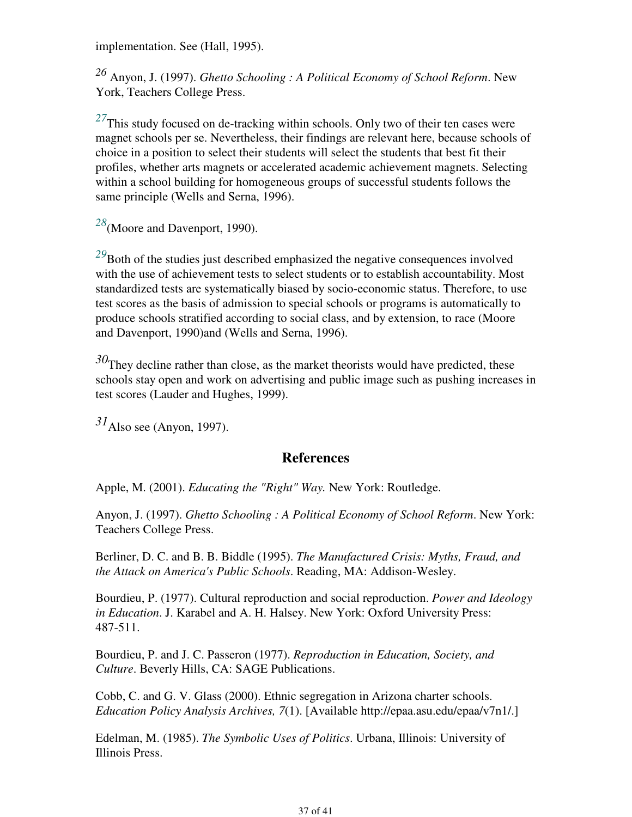implementation. See (Hall, 1995).

*<sup>26</sup>* Anyon, J. (1997). *Ghetto Schooling : A Political Economy of School Reform*. New York, Teachers College Press.

<sup>27</sup>This study focused on de-tracking within schools. Only two of their ten cases were magnet schools per se. Nevertheless, their findings are relevant here, because schools of choice in a position to select their students will select the students that best fit their profiles, whether arts magnets or accelerated academic achievement magnets. Selecting within a school building for homogeneous groups of successful students follows the same principle (Wells and Serna, 1996).

*<sup>28</sup>*(Moore and Davenport, 1990).

<sup>29</sup>Both of the studies just described emphasized the negative consequences involved with the use of achievement tests to select students or to establish accountability. Most standardized tests are systematically biased by socio-economic status. Therefore, to use test scores as the basis of admission to special schools or programs is automatically to produce schools stratified according to social class, and by extension, to race (Moore and Davenport, 1990)and (Wells and Serna, 1996).

*<sup>30</sup>*They decline rather than close, as the market theorists would have predicted, these schools stay open and work on advertising and public image such as pushing increases in test scores (Lauder and Hughes, 1999).

*<sup>31</sup>*Also see (Anyon, 1997).

## **References**

Apple, M. (2001). *Educating the "Right" Way.* New York: Routledge.

Anyon, J. (1997). *Ghetto Schooling : A Political Economy of School Reform*. New York: Teachers College Press.

Berliner, D. C. and B. B. Biddle (1995). *The Manufactured Crisis: Myths, Fraud, and the Attack on America's Public Schools*. Reading, MA: Addison-Wesley.

Bourdieu, P. (1977). Cultural reproduction and social reproduction. *Power and Ideology in Education*. J. Karabel and A. H. Halsey. New York: Oxford University Press: 487-511.

Bourdieu, P. and J. C. Passeron (1977). *Reproduction in Education, Society, and Culture*. Beverly Hills, CA: SAGE Publications.

Cobb, C. and G. V. Glass (2000). Ethnic segregation in Arizona charter schools. *Education Policy Analysis Archives, 7*(1). [Available http://epaa.asu.edu/epaa/v7n1/.]

Edelman, M. (1985). *The Symbolic Uses of Politics*. Urbana, Illinois: University of Illinois Press.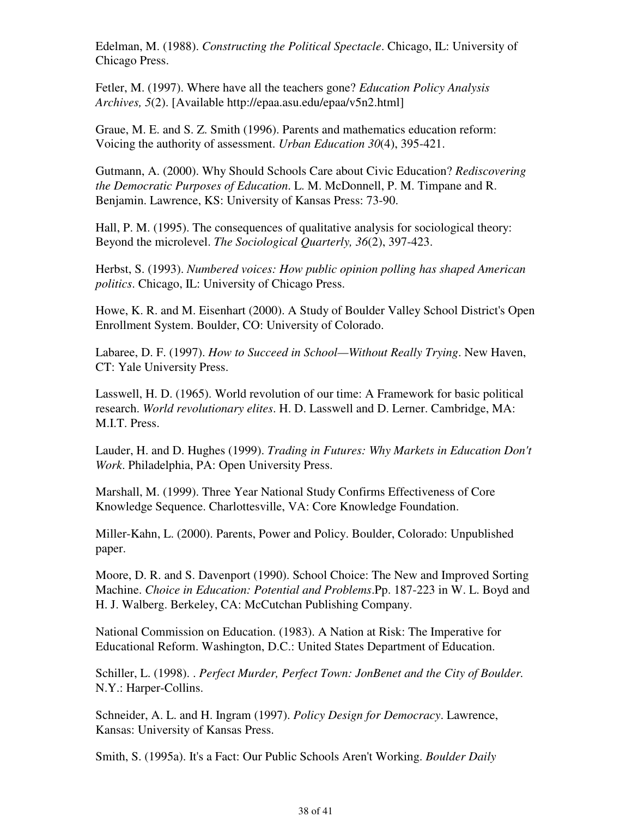Edelman, M. (1988). *Constructing the Political Spectacle*. Chicago, IL: University of Chicago Press.

Fetler, M. (1997). Where have all the teachers gone? *Education Policy Analysis Archives, 5*(2). [Available http://epaa.asu.edu/epaa/v5n2.html]

Graue, M. E. and S. Z. Smith (1996). Parents and mathematics education reform: Voicing the authority of assessment. *Urban Education 30*(4), 395-421.

Gutmann, A. (2000). Why Should Schools Care about Civic Education? *Rediscovering the Democratic Purposes of Education*. L. M. McDonnell, P. M. Timpane and R. Benjamin. Lawrence, KS: University of Kansas Press: 73-90.

Hall, P. M. (1995). The consequences of qualitative analysis for sociological theory: Beyond the microlevel. *The Sociological Quarterly, 36*(2), 397-423.

Herbst, S. (1993). *Numbered voices: How public opinion polling has shaped American politics*. Chicago, IL: University of Chicago Press.

Howe, K. R. and M. Eisenhart (2000). A Study of Boulder Valley School District's Open Enrollment System. Boulder, CO: University of Colorado.

Labaree, D. F. (1997). *How to Succeed in School—Without Really Trying*. New Haven, CT: Yale University Press.

Lasswell, H. D. (1965). World revolution of our time: A Framework for basic political research. *World revolutionary elites*. H. D. Lasswell and D. Lerner. Cambridge, MA: M.I.T. Press.

Lauder, H. and D. Hughes (1999). *Trading in Futures: Why Markets in Education Don't Work*. Philadelphia, PA: Open University Press.

Marshall, M. (1999). Three Year National Study Confirms Effectiveness of Core Knowledge Sequence. Charlottesville, VA: Core Knowledge Foundation.

Miller-Kahn, L. (2000). Parents, Power and Policy. Boulder, Colorado: Unpublished paper.

Moore, D. R. and S. Davenport (1990). School Choice: The New and Improved Sorting Machine. *Choice in Education: Potential and Problems*.Pp. 187-223 in W. L. Boyd and H. J. Walberg. Berkeley, CA: McCutchan Publishing Company.

National Commission on Education. (1983). A Nation at Risk: The Imperative for Educational Reform. Washington, D.C.: United States Department of Education.

Schiller, L. (1998). . *Perfect Murder, Perfect Town: JonBenet and the City of Boulder.* N.Y.: Harper-Collins.

Schneider, A. L. and H. Ingram (1997). *Policy Design for Democracy*. Lawrence, Kansas: University of Kansas Press.

Smith, S. (1995a). It's a Fact: Our Public Schools Aren't Working. *Boulder Daily*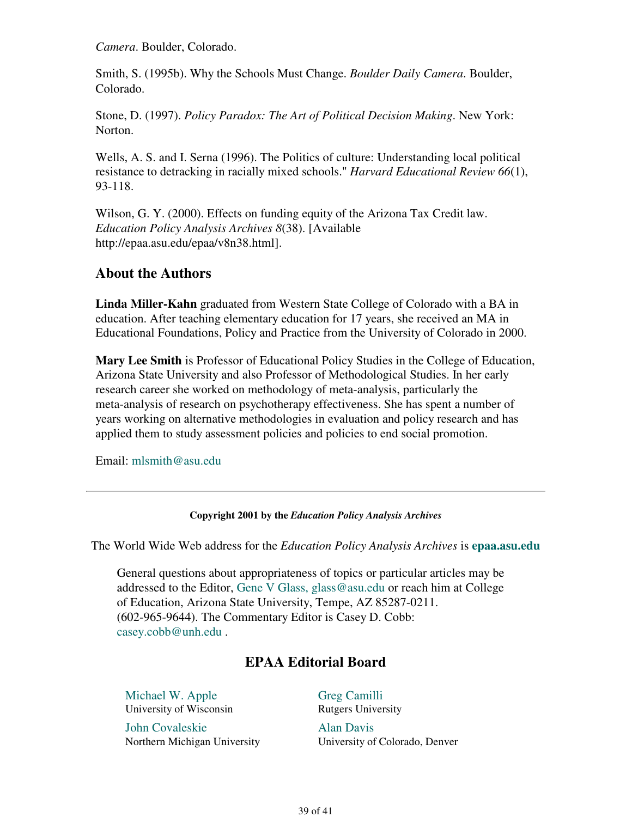*Camera*. Boulder, Colorado.

Smith, S. (1995b). Why the Schools Must Change. *Boulder Daily Camera*. Boulder, Colorado.

Stone, D. (1997). *Policy Paradox: The Art of Political Decision Making*. New York: Norton.

Wells, A. S. and I. Serna (1996). The Politics of culture: Understanding local political resistance to detracking in racially mixed schools." *Harvard Educational Review 66*(1), 93-118.

Wilson, G. Y. (2000). Effects on funding equity of the Arizona Tax Credit law. *Education Policy Analysis Archives 8*(38). [Available http://epaa.asu.edu/epaa/v8n38.html].

## **About the Authors**

**Linda Miller-Kahn** graduated from Western State College of Colorado with a BA in education. After teaching elementary education for 17 years, she received an MA in Educational Foundations, Policy and Practice from the University of Colorado in 2000.

**Mary Lee Smith** is Professor of Educational Policy Studies in the College of Education, Arizona State University and also Professor of Methodological Studies. In her early research career she worked on methodology of meta-analysis, particularly the meta-analysis of research on psychotherapy effectiveness. She has spent a number of years working on alternative methodologies in evaluation and policy research and has applied them to study assessment policies and policies to end social promotion.

Email: mlsmith@asu.edu

### **Copyright 2001 by the** *Education Policy Analysis Archives*

The World Wide Web address for the *Education Policy Analysis Archives* is **epaa.asu.edu**

General questions about appropriateness of topics or particular articles may be addressed to the Editor, Gene V Glass, glass@asu.edu or reach him at College of Education, Arizona State University, Tempe, AZ 85287-0211. (602-965-9644). The Commentary Editor is Casey D. Cobb: casey.cobb@unh.edu .

# **EPAA Editorial Board**

| Michael W. Apple             | <b>Greg Camilli</b>            |
|------------------------------|--------------------------------|
| University of Wisconsin      | <b>Rutgers University</b>      |
| John Covaleskie              | Alan Davis                     |
| Northern Michigan University | University of Colorado, Denver |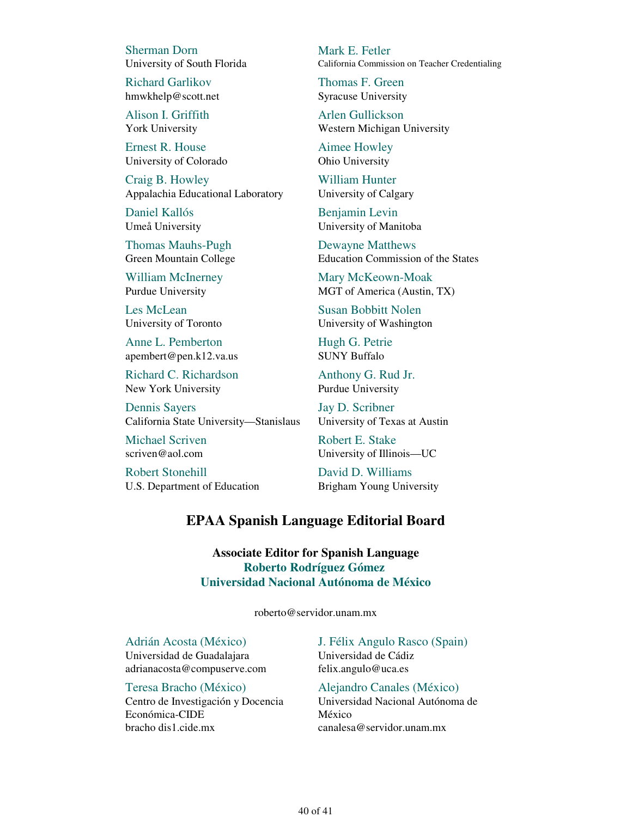Sherman Dorn University of South Florida

Richard Garlikov hmwkhelp@scott.net

Alison I. Griffith York University

Ernest R. House University of Colorado

Craig B. Howley Appalachia Educational Laboratory

Daniel Kallós Umeå University

Thomas Mauhs-Pugh Green Mountain College

William McInerney Purdue University

Les McLean University of Toronto

Anne L. Pemberton apembert@pen.k12.va.us

Richard C. Richardson New York University

Dennis Sayers California State University—Stanislaus

Michael Scriven scriven@aol.com

Robert Stonehill U.S. Department of Education Mark E. Fetler California Commission on Teacher Credentialing

Thomas F. Green Syracuse University

Arlen Gullickson Western Michigan University

Aimee Howley Ohio University

William Hunter University of Calgary

Benjamin Levin University of Manitoba

Dewayne Matthews Education Commission of the States

Mary McKeown-Moak MGT of America (Austin, TX)

Susan Bobbitt Nolen University of Washington

Hugh G. Petrie SUNY Buffalo

Anthony G. Rud Jr. Purdue University

Jay D. Scribner University of Texas at Austin

Robert E. Stake University of Illinois—UC

David D. Williams Brigham Young University

## **EPAA Spanish Language Editorial Board**

**Associate Editor for Spanish Language Roberto Rodríguez Gómez Universidad Nacional Autónoma de México**

roberto@servidor.unam.mx

Adrián Acosta (México) Universidad de Guadalajara adrianacosta@compuserve.com

Teresa Bracho (México) Centro de Investigación y Docencia Económica-CIDE bracho dis1.cide.mx

J. Félix Angulo Rasco (Spain) Universidad de Cádiz felix.angulo@uca.es

Alejandro Canales (México) Universidad Nacional Autónoma de México canalesa@servidor.unam.mx